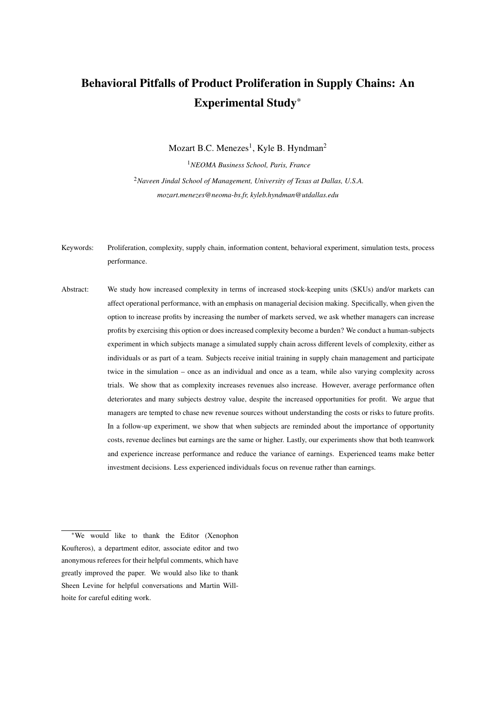# Behavioral Pitfalls of Product Proliferation in Supply Chains: An Experimental Study\*

Mozart B.C. Menezes<sup>1</sup>, Kyle B. Hyndman<sup>2</sup> <sup>1</sup>*NEOMA Business School, Paris, France*

<sup>2</sup>*Naveen Jindal School of Management, University of Texas at Dallas, U.S.A. mozart.menezes@neoma-bs.fr, kyleb.hyndman@utdallas.edu*

- Keywords: Proliferation, complexity, supply chain, information content, behavioral experiment, simulation tests, process performance.
- Abstract: We study how increased complexity in terms of increased stock-keeping units (SKUs) and/or markets can affect operational performance, with an emphasis on managerial decision making. Specifically, when given the option to increase profits by increasing the number of markets served, we ask whether managers can increase profits by exercising this option or does increased complexity become a burden? We conduct a human-subjects experiment in which subjects manage a simulated supply chain across different levels of complexity, either as individuals or as part of a team. Subjects receive initial training in supply chain management and participate twice in the simulation – once as an individual and once as a team, while also varying complexity across trials. We show that as complexity increases revenues also increase. However, average performance often deteriorates and many subjects destroy value, despite the increased opportunities for profit. We argue that managers are tempted to chase new revenue sources without understanding the costs or risks to future profits. In a follow-up experiment, we show that when subjects are reminded about the importance of opportunity costs, revenue declines but earnings are the same or higher. Lastly, our experiments show that both teamwork and experience increase performance and reduce the variance of earnings. Experienced teams make better investment decisions. Less experienced individuals focus on revenue rather than earnings.

<sup>\*</sup>We would like to thank the Editor (Xenophon Koufteros), a department editor, associate editor and two anonymous referees for their helpful comments, which have greatly improved the paper. We would also like to thank Sheen Levine for helpful conversations and Martin Willhoite for careful editing work.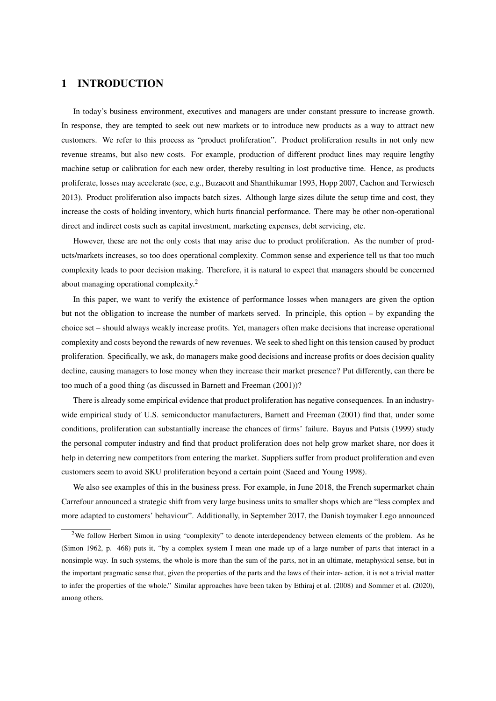# 1 INTRODUCTION

In today's business environment, executives and managers are under constant pressure to increase growth. In response, they are tempted to seek out new markets or to introduce new products as a way to attract new customers. We refer to this process as "product proliferation". Product proliferation results in not only new revenue streams, but also new costs. For example, production of different product lines may require lengthy machine setup or calibration for each new order, thereby resulting in lost productive time. Hence, as products proliferate, losses may accelerate (see, e.g., Buzacott and Shanthikumar 1993, Hopp 2007, Cachon and Terwiesch 2013). Product proliferation also impacts batch sizes. Although large sizes dilute the setup time and cost, they increase the costs of holding inventory, which hurts financial performance. There may be other non-operational direct and indirect costs such as capital investment, marketing expenses, debt servicing, etc.

However, these are not the only costs that may arise due to product proliferation. As the number of products/markets increases, so too does operational complexity. Common sense and experience tell us that too much complexity leads to poor decision making. Therefore, it is natural to expect that managers should be concerned about managing operational complexity.<sup>2</sup>

In this paper, we want to verify the existence of performance losses when managers are given the option but not the obligation to increase the number of markets served. In principle, this option – by expanding the choice set – should always weakly increase profits. Yet, managers often make decisions that increase operational complexity and costs beyond the rewards of new revenues. We seek to shed light on this tension caused by product proliferation. Specifically, we ask, do managers make good decisions and increase profits or does decision quality decline, causing managers to lose money when they increase their market presence? Put differently, can there be too much of a good thing (as discussed in Barnett and Freeman (2001))?

There is already some empirical evidence that product proliferation has negative consequences. In an industrywide empirical study of U.S. semiconductor manufacturers, Barnett and Freeman (2001) find that, under some conditions, proliferation can substantially increase the chances of firms' failure. Bayus and Putsis (1999) study the personal computer industry and find that product proliferation does not help grow market share, nor does it help in deterring new competitors from entering the market. Suppliers suffer from product proliferation and even customers seem to avoid SKU proliferation beyond a certain point (Saeed and Young 1998).

We also see examples of this in the business press. For example, in June 2018, the French supermarket chain Carrefour announced a strategic shift from very large business units to smaller shops which are "less complex and more adapted to customers' behaviour". Additionally, in September 2017, the Danish toymaker Lego announced

<sup>&</sup>lt;sup>2</sup>We follow Herbert Simon in using "complexity" to denote interdependency between elements of the problem. As he (Simon 1962, p. 468) puts it, "by a complex system I mean one made up of a large number of parts that interact in a nonsimple way. In such systems, the whole is more than the sum of the parts, not in an ultimate, metaphysical sense, but in the important pragmatic sense that, given the properties of the parts and the laws of their inter- action, it is not a trivial matter to infer the properties of the whole." Similar approaches have been taken by Ethiraj et al. (2008) and Sommer et al. (2020), among others.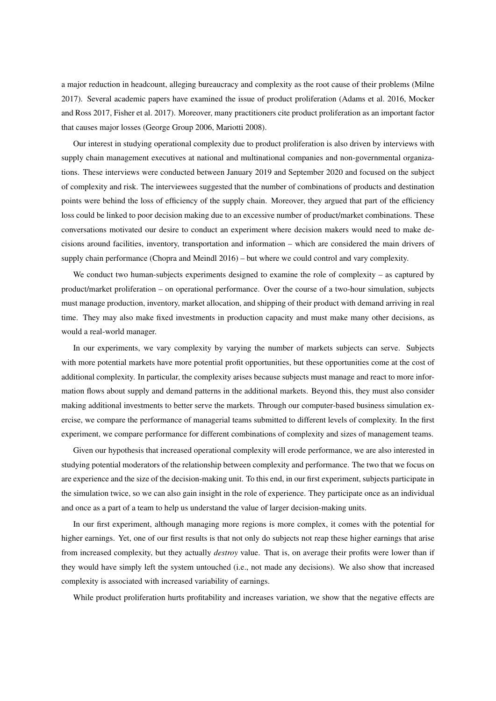a major reduction in headcount, alleging bureaucracy and complexity as the root cause of their problems (Milne 2017). Several academic papers have examined the issue of product proliferation (Adams et al. 2016, Mocker and Ross 2017, Fisher et al. 2017). Moreover, many practitioners cite product proliferation as an important factor that causes major losses (George Group 2006, Mariotti 2008).

Our interest in studying operational complexity due to product proliferation is also driven by interviews with supply chain management executives at national and multinational companies and non-governmental organizations. These interviews were conducted between January 2019 and September 2020 and focused on the subject of complexity and risk. The interviewees suggested that the number of combinations of products and destination points were behind the loss of efficiency of the supply chain. Moreover, they argued that part of the efficiency loss could be linked to poor decision making due to an excessive number of product/market combinations. These conversations motivated our desire to conduct an experiment where decision makers would need to make decisions around facilities, inventory, transportation and information – which are considered the main drivers of supply chain performance (Chopra and Meindl 2016) – but where we could control and vary complexity.

We conduct two human-subjects experiments designed to examine the role of complexity – as captured by product/market proliferation – on operational performance. Over the course of a two-hour simulation, subjects must manage production, inventory, market allocation, and shipping of their product with demand arriving in real time. They may also make fixed investments in production capacity and must make many other decisions, as would a real-world manager.

In our experiments, we vary complexity by varying the number of markets subjects can serve. Subjects with more potential markets have more potential profit opportunities, but these opportunities come at the cost of additional complexity. In particular, the complexity arises because subjects must manage and react to more information flows about supply and demand patterns in the additional markets. Beyond this, they must also consider making additional investments to better serve the markets. Through our computer-based business simulation exercise, we compare the performance of managerial teams submitted to different levels of complexity. In the first experiment, we compare performance for different combinations of complexity and sizes of management teams.

Given our hypothesis that increased operational complexity will erode performance, we are also interested in studying potential moderators of the relationship between complexity and performance. The two that we focus on are experience and the size of the decision-making unit. To this end, in our first experiment, subjects participate in the simulation twice, so we can also gain insight in the role of experience. They participate once as an individual and once as a part of a team to help us understand the value of larger decision-making units.

In our first experiment, although managing more regions is more complex, it comes with the potential for higher earnings. Yet, one of our first results is that not only do subjects not reap these higher earnings that arise from increased complexity, but they actually *destroy* value. That is, on average their profits were lower than if they would have simply left the system untouched (i.e., not made any decisions). We also show that increased complexity is associated with increased variability of earnings.

While product proliferation hurts profitability and increases variation, we show that the negative effects are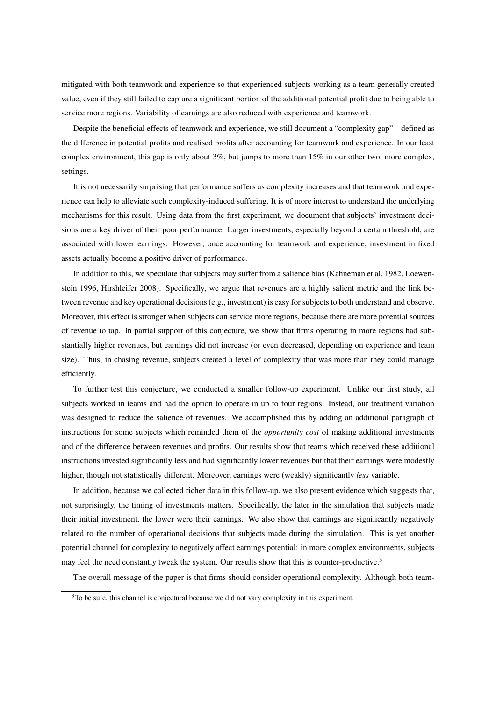mitigated with both teamwork and experience so that experienced subjects working as a team generally created value, even if they still failed to capture a significant portion of the additional potential profit due to being able to service more regions. Variability of earnings are also reduced with experience and teamwork.

Despite the beneficial effects of teamwork and experience, we still document a "complexity gap" – defined as the difference in potential profits and realised profits after accounting for teamwork and experience. In our least complex environment, this gap is only about 3%, but jumps to more than 15% in our other two, more complex, settings.

It is not necessarily surprising that performance suffers as complexity increases and that teamwork and experience can help to alleviate such complexity-induced suffering. It is of more interest to understand the underlying mechanisms for this result. Using data from the first experiment, we document that subjects' investment decisions are a key driver of their poor performance. Larger investments, especially beyond a certain threshold, are associated with lower earnings. However, once accounting for teamwork and experience, investment in fixed assets actually become a positive driver of performance.

In addition to this, we speculate that subjects may suffer from a salience bias (Kahneman et al. 1982, Loewenstein 1996, Hirshleifer 2008). Specifically, we argue that revenues are a highly salient metric and the link between revenue and key operational decisions (e.g., investment) is easy for subjects to both understand and observe. Moreover, this effect is stronger when subjects can service more regions, because there are more potential sources of revenue to tap. In partial support of this conjecture, we show that firms operating in more regions had substantially higher revenues, but earnings did not increase (or even decreased, depending on experience and team size). Thus, in chasing revenue, subjects created a level of complexity that was more than they could manage efficiently.

To further test this conjecture, we conducted a smaller follow-up experiment. Unlike our first study, all subjects worked in teams and had the option to operate in up to four regions. Instead, our treatment variation was designed to reduce the salience of revenues. We accomplished this by adding an additional paragraph of instructions for some subjects which reminded them of the *opportunity cost* of making additional investments and of the difference between revenues and profits. Our results show that teams which received these additional instructions invested significantly less and had significantly lower revenues but that their earnings were modestly higher, though not statistically different. Moreover, earnings were (weakly) significantly *less* variable.

In addition, because we collected richer data in this follow-up, we also present evidence which suggests that, not surprisingly, the timing of investments matters. Specifically, the later in the simulation that subjects made their initial investment, the lower were their earnings. We also show that earnings are significantly negatively related to the number of operational decisions that subjects made during the simulation. This is yet another potential channel for complexity to negatively affect earnings potential: in more complex environments, subjects may feel the need constantly tweak the system. Our results show that this is counter-productive.<sup>3</sup>

The overall message of the paper is that firms should consider operational complexity. Although both team-

 $3$ To be sure, this channel is conjectural because we did not vary complexity in this experiment.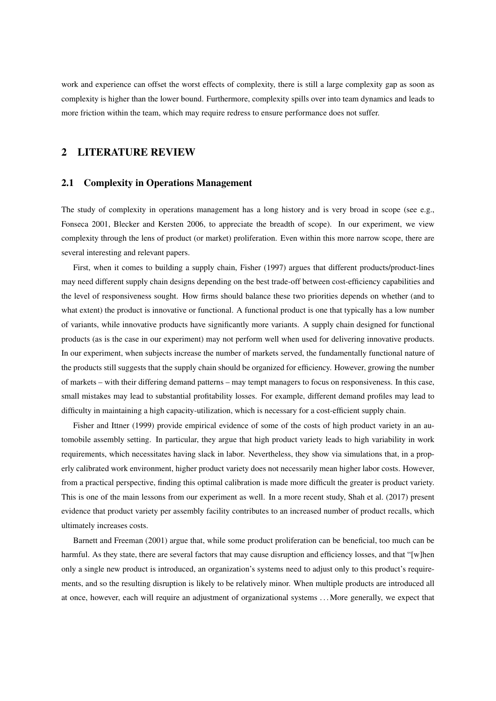work and experience can offset the worst effects of complexity, there is still a large complexity gap as soon as complexity is higher than the lower bound. Furthermore, complexity spills over into team dynamics and leads to more friction within the team, which may require redress to ensure performance does not suffer.

# 2 LITERATURE REVIEW

## 2.1 Complexity in Operations Management

The study of complexity in operations management has a long history and is very broad in scope (see e.g., Fonseca 2001, Blecker and Kersten 2006, to appreciate the breadth of scope). In our experiment, we view complexity through the lens of product (or market) proliferation. Even within this more narrow scope, there are several interesting and relevant papers.

First, when it comes to building a supply chain, Fisher (1997) argues that different products/product-lines may need different supply chain designs depending on the best trade-off between cost-efficiency capabilities and the level of responsiveness sought. How firms should balance these two priorities depends on whether (and to what extent) the product is innovative or functional. A functional product is one that typically has a low number of variants, while innovative products have significantly more variants. A supply chain designed for functional products (as is the case in our experiment) may not perform well when used for delivering innovative products. In our experiment, when subjects increase the number of markets served, the fundamentally functional nature of the products still suggests that the supply chain should be organized for efficiency. However, growing the number of markets – with their differing demand patterns – may tempt managers to focus on responsiveness. In this case, small mistakes may lead to substantial profitability losses. For example, different demand profiles may lead to difficulty in maintaining a high capacity-utilization, which is necessary for a cost-efficient supply chain.

Fisher and Ittner (1999) provide empirical evidence of some of the costs of high product variety in an automobile assembly setting. In particular, they argue that high product variety leads to high variability in work requirements, which necessitates having slack in labor. Nevertheless, they show via simulations that, in a properly calibrated work environment, higher product variety does not necessarily mean higher labor costs. However, from a practical perspective, finding this optimal calibration is made more difficult the greater is product variety. This is one of the main lessons from our experiment as well. In a more recent study, Shah et al. (2017) present evidence that product variety per assembly facility contributes to an increased number of product recalls, which ultimately increases costs.

Barnett and Freeman (2001) argue that, while some product proliferation can be beneficial, too much can be harmful. As they state, there are several factors that may cause disruption and efficiency losses, and that "[w]hen only a single new product is introduced, an organization's systems need to adjust only to this product's requirements, and so the resulting disruption is likely to be relatively minor. When multiple products are introduced all at once, however, each will require an adjustment of organizational systems . . . More generally, we expect that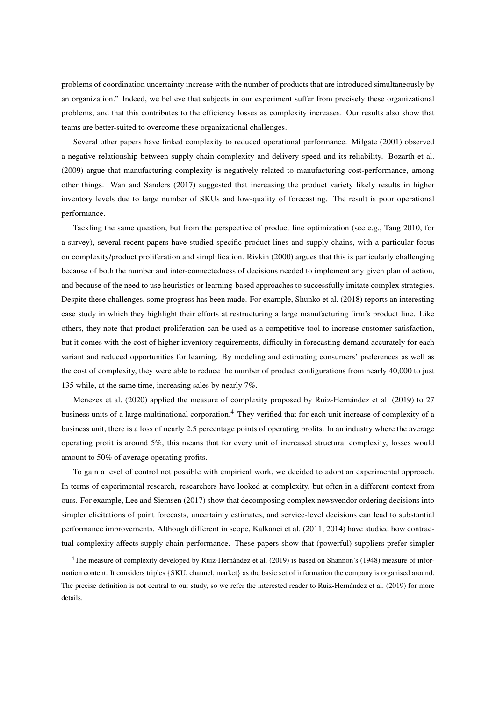problems of coordination uncertainty increase with the number of products that are introduced simultaneously by an organization." Indeed, we believe that subjects in our experiment suffer from precisely these organizational problems, and that this contributes to the efficiency losses as complexity increases. Our results also show that teams are better-suited to overcome these organizational challenges.

Several other papers have linked complexity to reduced operational performance. Milgate (2001) observed a negative relationship between supply chain complexity and delivery speed and its reliability. Bozarth et al. (2009) argue that manufacturing complexity is negatively related to manufacturing cost-performance, among other things. Wan and Sanders (2017) suggested that increasing the product variety likely results in higher inventory levels due to large number of SKUs and low-quality of forecasting. The result is poor operational performance.

Tackling the same question, but from the perspective of product line optimization (see e.g., Tang 2010, for a survey), several recent papers have studied specific product lines and supply chains, with a particular focus on complexity/product proliferation and simplification. Rivkin (2000) argues that this is particularly challenging because of both the number and inter-connectedness of decisions needed to implement any given plan of action, and because of the need to use heuristics or learning-based approaches to successfully imitate complex strategies. Despite these challenges, some progress has been made. For example, Shunko et al. (2018) reports an interesting case study in which they highlight their efforts at restructuring a large manufacturing firm's product line. Like others, they note that product proliferation can be used as a competitive tool to increase customer satisfaction, but it comes with the cost of higher inventory requirements, difficulty in forecasting demand accurately for each variant and reduced opportunities for learning. By modeling and estimating consumers' preferences as well as the cost of complexity, they were able to reduce the number of product configurations from nearly 40,000 to just 135 while, at the same time, increasing sales by nearly 7%.

Menezes et al. (2020) applied the measure of complexity proposed by Ruiz-Hernández et al. (2019) to 27 business units of a large multinational corporation.<sup>4</sup> They verified that for each unit increase of complexity of a business unit, there is a loss of nearly 2.5 percentage points of operating profits. In an industry where the average operating profit is around 5%, this means that for every unit of increased structural complexity, losses would amount to 50% of average operating profits.

To gain a level of control not possible with empirical work, we decided to adopt an experimental approach. In terms of experimental research, researchers have looked at complexity, but often in a different context from ours. For example, Lee and Siemsen (2017) show that decomposing complex newsvendor ordering decisions into simpler elicitations of point forecasts, uncertainty estimates, and service-level decisions can lead to substantial performance improvements. Although different in scope, Kalkanci et al. (2011, 2014) have studied how contractual complexity affects supply chain performance. These papers show that (powerful) suppliers prefer simpler

<sup>&</sup>lt;sup>4</sup>The measure of complexity developed by Ruiz-Hernández et al. (2019) is based on Shannon's (1948) measure of information content. It considers triples {SKU, channel, market} as the basic set of information the company is organised around. The precise definition is not central to our study, so we refer the interested reader to Ruiz-Hernández et al. (2019) for more details.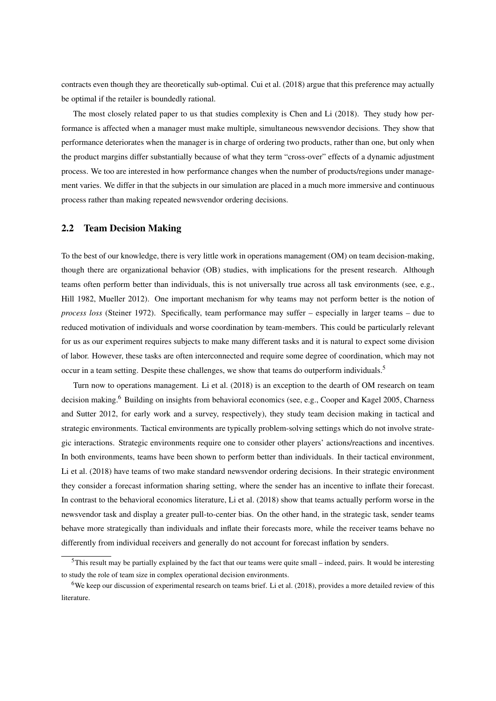contracts even though they are theoretically sub-optimal. Cui et al. (2018) argue that this preference may actually be optimal if the retailer is boundedly rational.

The most closely related paper to us that studies complexity is Chen and Li (2018). They study how performance is affected when a manager must make multiple, simultaneous newsvendor decisions. They show that performance deteriorates when the manager is in charge of ordering two products, rather than one, but only when the product margins differ substantially because of what they term "cross-over" effects of a dynamic adjustment process. We too are interested in how performance changes when the number of products/regions under management varies. We differ in that the subjects in our simulation are placed in a much more immersive and continuous process rather than making repeated newsvendor ordering decisions.

## 2.2 Team Decision Making

To the best of our knowledge, there is very little work in operations management (OM) on team decision-making, though there are organizational behavior (OB) studies, with implications for the present research. Although teams often perform better than individuals, this is not universally true across all task environments (see, e.g., Hill 1982, Mueller 2012). One important mechanism for why teams may not perform better is the notion of *process loss* (Steiner 1972). Specifically, team performance may suffer – especially in larger teams – due to reduced motivation of individuals and worse coordination by team-members. This could be particularly relevant for us as our experiment requires subjects to make many different tasks and it is natural to expect some division of labor. However, these tasks are often interconnected and require some degree of coordination, which may not occur in a team setting. Despite these challenges, we show that teams do outperform individuals.<sup>5</sup>

Turn now to operations management. Li et al. (2018) is an exception to the dearth of OM research on team decision making.<sup>6</sup> Building on insights from behavioral economics (see, e.g., Cooper and Kagel 2005, Charness and Sutter 2012, for early work and a survey, respectively), they study team decision making in tactical and strategic environments. Tactical environments are typically problem-solving settings which do not involve strategic interactions. Strategic environments require one to consider other players' actions/reactions and incentives. In both environments, teams have been shown to perform better than individuals. In their tactical environment, Li et al. (2018) have teams of two make standard newsvendor ordering decisions. In their strategic environment they consider a forecast information sharing setting, where the sender has an incentive to inflate their forecast. In contrast to the behavioral economics literature, Li et al. (2018) show that teams actually perform worse in the newsvendor task and display a greater pull-to-center bias. On the other hand, in the strategic task, sender teams behave more strategically than individuals and inflate their forecasts more, while the receiver teams behave no differently from individual receivers and generally do not account for forecast inflation by senders.

 $5$ This result may be partially explained by the fact that our teams were quite small – indeed, pairs. It would be interesting to study the role of team size in complex operational decision environments.

 $6$ We keep our discussion of experimental research on teams brief. Li et al. (2018), provides a more detailed review of this literature.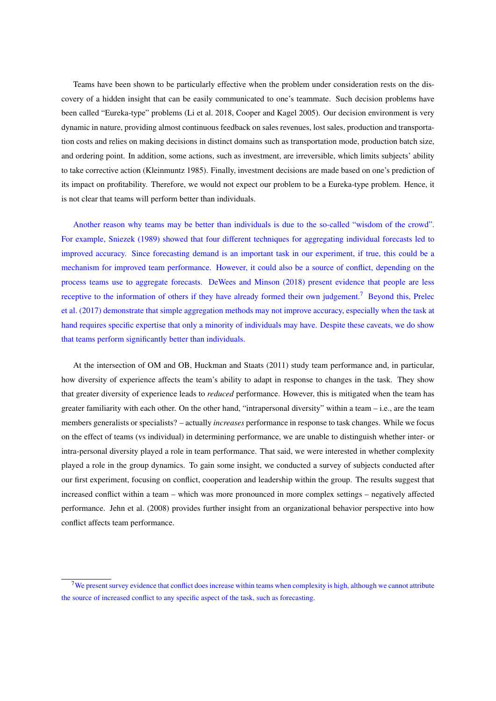Teams have been shown to be particularly effective when the problem under consideration rests on the discovery of a hidden insight that can be easily communicated to one's teammate. Such decision problems have been called "Eureka-type" problems (Li et al. 2018, Cooper and Kagel 2005). Our decision environment is very dynamic in nature, providing almost continuous feedback on sales revenues, lost sales, production and transportation costs and relies on making decisions in distinct domains such as transportation mode, production batch size, and ordering point. In addition, some actions, such as investment, are irreversible, which limits subjects' ability to take corrective action (Kleinmuntz 1985). Finally, investment decisions are made based on one's prediction of its impact on profitability. Therefore, we would not expect our problem to be a Eureka-type problem. Hence, it is not clear that teams will perform better than individuals.

Another reason why teams may be better than individuals is due to the so-called "wisdom of the crowd". For example, Sniezek (1989) showed that four different techniques for aggregating individual forecasts led to improved accuracy. Since forecasting demand is an important task in our experiment, if true, this could be a mechanism for improved team performance. However, it could also be a source of conflict, depending on the process teams use to aggregate forecasts. DeWees and Minson (2018) present evidence that people are less receptive to the information of others if they have already formed their own judgement.<sup>7</sup> Beyond this, Prelec et al. (2017) demonstrate that simple aggregation methods may not improve accuracy, especially when the task at hand requires specific expertise that only a minority of individuals may have. Despite these caveats, we do show that teams perform significantly better than individuals.

At the intersection of OM and OB, Huckman and Staats (2011) study team performance and, in particular, how diversity of experience affects the team's ability to adapt in response to changes in the task. They show that greater diversity of experience leads to *reduced* performance. However, this is mitigated when the team has greater familiarity with each other. On the other hand, "intrapersonal diversity" within a team – i.e., are the team members generalists or specialists? – actually *increases* performance in response to task changes. While we focus on the effect of teams (vs individual) in determining performance, we are unable to distinguish whether inter- or intra-personal diversity played a role in team performance. That said, we were interested in whether complexity played a role in the group dynamics. To gain some insight, we conducted a survey of subjects conducted after our first experiment, focusing on conflict, cooperation and leadership within the group. The results suggest that increased conflict within a team – which was more pronounced in more complex settings – negatively affected performance. Jehn et al. (2008) provides further insight from an organizational behavior perspective into how conflict affects team performance.

 $7$ We present survey evidence that conflict does increase within teams when complexity is high, although we cannot attribute the source of increased conflict to any specific aspect of the task, such as forecasting.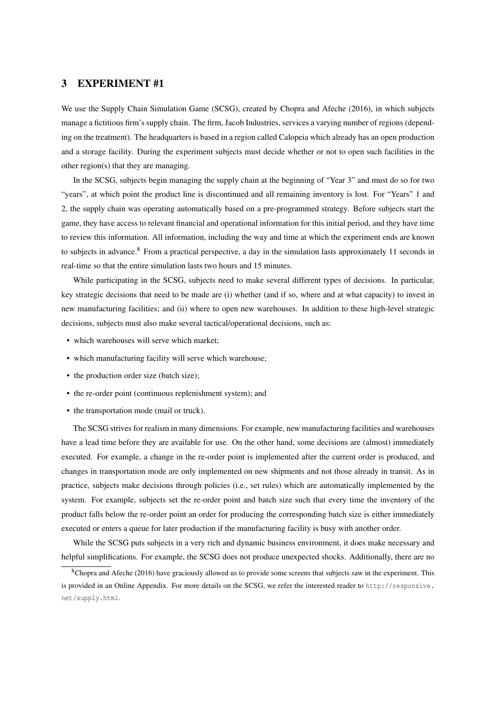# 3 EXPERIMENT #1

We use the Supply Chain Simulation Game (SCSG), created by Chopra and Afeche (2016), in which subjects manage a fictitious firm's supply chain. The firm, Jacob Industries, services a varying number of regions (depending on the treatment). The headquarters is based in a region called Calopeia which already has an open production and a storage facility. During the experiment subjects must decide whether or not to open such facilities in the other region(s) that they are managing.

In the SCSG, subjects begin managing the supply chain at the beginning of "Year 3" and must do so for two "years", at which point the product line is discontinued and all remaining inventory is lost. For "Years" 1 and 2, the supply chain was operating automatically based on a pre-programmed strategy. Before subjects start the game, they have access to relevant financial and operational information for this initial period, and they have time to review this information. All information, including the way and time at which the experiment ends are known to subjects in advance.<sup>8</sup> From a practical perspective, a day in the simulation lasts approximately 11 seconds in real-time so that the entire simulation lasts two hours and 15 minutes.

While participating in the SCSG, subjects need to make several different types of decisions. In particular, key strategic decisions that need to be made are (i) whether (and if so, where and at what capacity) to invest in new manufacturing facilities; and (ii) where to open new warehouses. In addition to these high-level strategic decisions, subjects must also make several tactical/operational decisions, such as:

- which warehouses will serve which market;
- which manufacturing facility will serve which warehouse;
- the production order size (batch size);
- the re-order point (continuous replenishment system); and
- the transportation mode (mail or truck).

The SCSG strives for realism in many dimensions. For example, new manufacturing facilities and warehouses have a lead time before they are available for use. On the other hand, some decisions are (almost) immediately executed. For example, a change in the re-order point is implemented after the current order is produced, and changes in transportation mode are only implemented on new shipments and not those already in transit. As in practice, subjects make decisions through policies (i.e., set rules) which are automatically implemented by the system. For example, subjects set the re-order point and batch size such that every time the inventory of the product falls below the re-order point an order for producing the corresponding batch size is either immediately executed or enters a queue for later production if the manufacturing facility is busy with another order.

While the SCSG puts subjects in a very rich and dynamic business environment, it does make necessary and helpful simplifications. For example, the SCSG does not produce unexpected shocks. Additionally, there are no

 $8$ Chopra and Afeche (2016) have graciously allowed us to provide some screens that subjects saw in the experiment. This is provided in an Online Appendix. For more details on the SCSG, we refer the interested reader to http://responsive. net/supply.html.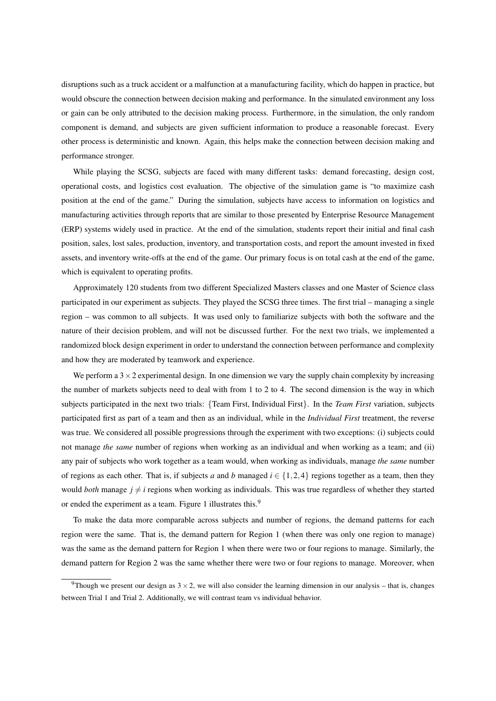disruptions such as a truck accident or a malfunction at a manufacturing facility, which do happen in practice, but would obscure the connection between decision making and performance. In the simulated environment any loss or gain can be only attributed to the decision making process. Furthermore, in the simulation, the only random component is demand, and subjects are given sufficient information to produce a reasonable forecast. Every other process is deterministic and known. Again, this helps make the connection between decision making and performance stronger.

While playing the SCSG, subjects are faced with many different tasks: demand forecasting, design cost, operational costs, and logistics cost evaluation. The objective of the simulation game is "to maximize cash position at the end of the game." During the simulation, subjects have access to information on logistics and manufacturing activities through reports that are similar to those presented by Enterprise Resource Management (ERP) systems widely used in practice. At the end of the simulation, students report their initial and final cash position, sales, lost sales, production, inventory, and transportation costs, and report the amount invested in fixed assets, and inventory write-offs at the end of the game. Our primary focus is on total cash at the end of the game, which is equivalent to operating profits.

Approximately 120 students from two different Specialized Masters classes and one Master of Science class participated in our experiment as subjects. They played the SCSG three times. The first trial – managing a single region – was common to all subjects. It was used only to familiarize subjects with both the software and the nature of their decision problem, and will not be discussed further. For the next two trials, we implemented a randomized block design experiment in order to understand the connection between performance and complexity and how they are moderated by teamwork and experience.

We perform a  $3 \times 2$  experimental design. In one dimension we vary the supply chain complexity by increasing the number of markets subjects need to deal with from 1 to 2 to 4. The second dimension is the way in which subjects participated in the next two trials: {Team First, Individual First}. In the *Team First* variation, subjects participated first as part of a team and then as an individual, while in the *Individual First* treatment, the reverse was true. We considered all possible progressions through the experiment with two exceptions: (i) subjects could not manage *the same* number of regions when working as an individual and when working as a team; and (ii) any pair of subjects who work together as a team would, when working as individuals, manage *the same* number of regions as each other. That is, if subjects *a* and *b* managed  $i \in \{1,2,4\}$  regions together as a team, then they would *both* manage  $j \neq i$  regions when working as individuals. This was true regardless of whether they started or ended the experiment as a team. Figure 1 illustrates this.<sup>9</sup>

To make the data more comparable across subjects and number of regions, the demand patterns for each region were the same. That is, the demand pattern for Region 1 (when there was only one region to manage) was the same as the demand pattern for Region 1 when there were two or four regions to manage. Similarly, the demand pattern for Region 2 was the same whether there were two or four regions to manage. Moreover, when

<sup>&</sup>lt;sup>9</sup>Though we present our design as  $3 \times 2$ , we will also consider the learning dimension in our analysis – that is, changes between Trial 1 and Trial 2. Additionally, we will contrast team vs individual behavior.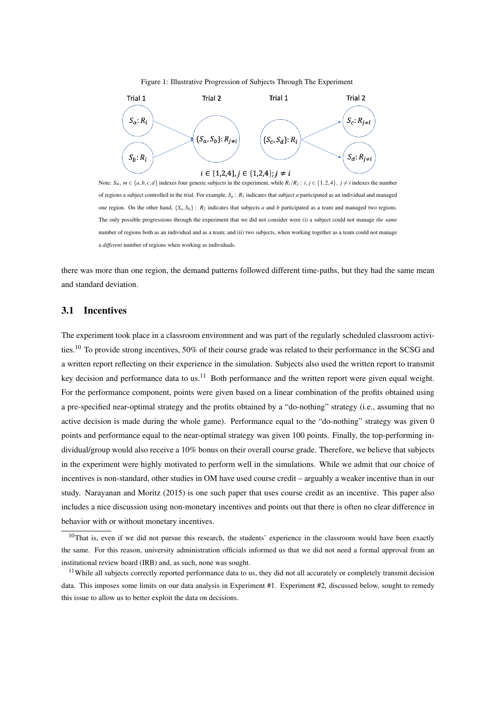#### Figure 1: Illustrative Progression of Subjects Through The Experiment



Note:  $S_m$ ,  $m \in \{a, b, c, d\}$  indexes four generic subjects in the experiment, while  $R_i/R_j$ :  $i, j \in \{1, 2, 4\}$ ,  $j \neq i$  indexes the number of regions a subject controlled in the trial. For example, *S<sup>a</sup>* : *R*<sup>1</sup> indicates that subject *a* participated as an individual and managed one region. On the other hand,  $\{S_a, S_b\}$ :  $R_2$  indicates that subjects *a* and *b* participated as a team and managed two regions. The only possible progressions through the experiment that we did not consider were (i) a subject could not manage *the same* number of regions both as an individual and as a team; and (ii) two subjects, when working together as a team could not manage a *different* number of regions when working as individuals.

there was more than one region, the demand patterns followed different time-paths, but they had the same mean and standard deviation.

## 3.1 Incentives

The experiment took place in a classroom environment and was part of the regularly scheduled classroom activities.<sup>10</sup> To provide strong incentives, 50% of their course grade was related to their performance in the SCSG and a written report reflecting on their experience in the simulation. Subjects also used the written report to transmit key decision and performance data to us.<sup>11</sup> Both performance and the written report were given equal weight. For the performance component, points were given based on a linear combination of the profits obtained using a pre-specified near-optimal strategy and the profits obtained by a "do-nothing" strategy (i.e., assuming that no active decision is made during the whole game). Performance equal to the "do-nothing" strategy was given 0 points and performance equal to the near-optimal strategy was given 100 points. Finally, the top-performing individual/group would also receive a 10% bonus on their overall course grade. Therefore, we believe that subjects in the experiment were highly motivated to perform well in the simulations. While we admit that our choice of incentives is non-standard, other studies in OM have used course credit – arguably a weaker incentive than in our study. Narayanan and Moritz (2015) is one such paper that uses course credit as an incentive. This paper also includes a nice discussion using non-monetary incentives and points out that there is often no clear difference in behavior with or without monetary incentives.

<sup>&</sup>lt;sup>10</sup>That is, even if we did not pursue this research, the students' experience in the classroom would have been exactly the same. For this reason, university administration officials informed us that we did not need a formal approval from an institutional review board (IRB) and, as such, none was sought.

<sup>&</sup>lt;sup>11</sup>While all subjects correctly reported performance data to us, they did not all accurately or completely transmit decision data. This imposes some limits on our data analysis in Experiment #1. Experiment #2, discussed below, sought to remedy this issue to allow us to better exploit the data on decisions.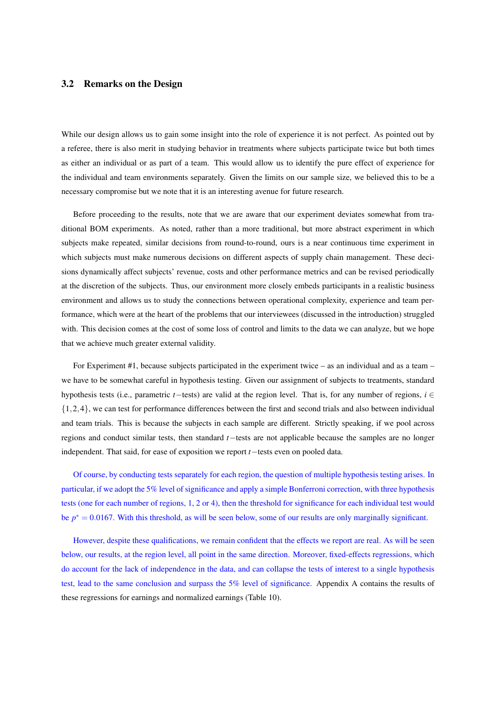## 3.2 Remarks on the Design

While our design allows us to gain some insight into the role of experience it is not perfect. As pointed out by a referee, there is also merit in studying behavior in treatments where subjects participate twice but both times as either an individual or as part of a team. This would allow us to identify the pure effect of experience for the individual and team environments separately. Given the limits on our sample size, we believed this to be a necessary compromise but we note that it is an interesting avenue for future research.

Before proceeding to the results, note that we are aware that our experiment deviates somewhat from traditional BOM experiments. As noted, rather than a more traditional, but more abstract experiment in which subjects make repeated, similar decisions from round-to-round, ours is a near continuous time experiment in which subjects must make numerous decisions on different aspects of supply chain management. These decisions dynamically affect subjects' revenue, costs and other performance metrics and can be revised periodically at the discretion of the subjects. Thus, our environment more closely embeds participants in a realistic business environment and allows us to study the connections between operational complexity, experience and team performance, which were at the heart of the problems that our interviewees (discussed in the introduction) struggled with. This decision comes at the cost of some loss of control and limits to the data we can analyze, but we hope that we achieve much greater external validity.

For Experiment #1, because subjects participated in the experiment twice – as an individual and as a team – we have to be somewhat careful in hypothesis testing. Given our assignment of subjects to treatments, standard hypothesis tests (i.e., parametric *t*−tests) are valid at the region level. That is, for any number of regions, *i* ∈ {1,2,4}, we can test for performance differences between the first and second trials and also between individual and team trials. This is because the subjects in each sample are different. Strictly speaking, if we pool across regions and conduct similar tests, then standard *t*−tests are not applicable because the samples are no longer independent. That said, for ease of exposition we report *t*−tests even on pooled data.

Of course, by conducting tests separately for each region, the question of multiple hypothesis testing arises. In particular, if we adopt the 5% level of significance and apply a simple Bonferroni correction, with three hypothesis tests (one for each number of regions, 1, 2 or 4), then the threshold for significance for each individual test would be  $p^* = 0.0167$ . With this threshold, as will be seen below, some of our results are only marginally significant.

However, despite these qualifications, we remain confident that the effects we report are real. As will be seen below, our results, at the region level, all point in the same direction. Moreover, fixed-effects regressions, which do account for the lack of independence in the data, and can collapse the tests of interest to a single hypothesis test, lead to the same conclusion and surpass the 5% level of significance. Appendix A contains the results of these regressions for earnings and normalized earnings (Table 10).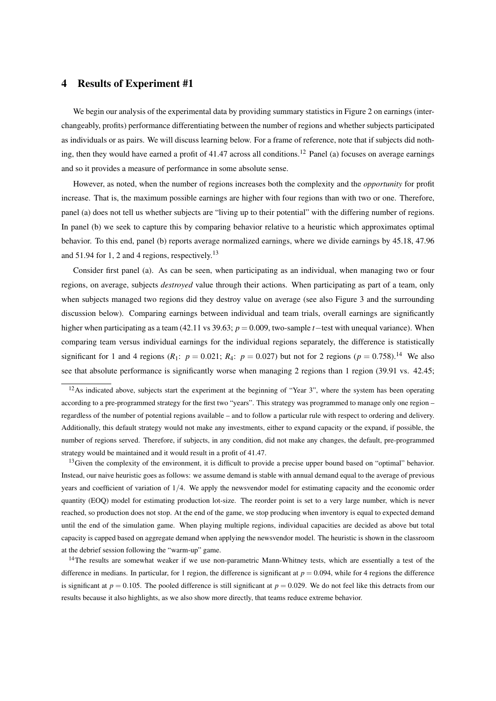# 4 Results of Experiment #1

We begin our analysis of the experimental data by providing summary statistics in Figure 2 on earnings (interchangeably, profits) performance differentiating between the number of regions and whether subjects participated as individuals or as pairs. We will discuss learning below. For a frame of reference, note that if subjects did nothing, then they would have earned a profit of 41.47 across all conditions.<sup>12</sup> Panel (a) focuses on average earnings and so it provides a measure of performance in some absolute sense.

However, as noted, when the number of regions increases both the complexity and the *opportunity* for profit increase. That is, the maximum possible earnings are higher with four regions than with two or one. Therefore, panel (a) does not tell us whether subjects are "living up to their potential" with the differing number of regions. In panel (b) we seek to capture this by comparing behavior relative to a heuristic which approximates optimal behavior. To this end, panel (b) reports average normalized earnings, where we divide earnings by 45.18, 47.96 and 51.94 for 1, 2 and 4 regions, respectively.<sup>13</sup>

Consider first panel (a). As can be seen, when participating as an individual, when managing two or four regions, on average, subjects *destroyed* value through their actions. When participating as part of a team, only when subjects managed two regions did they destroy value on average (see also Figure 3 and the surrounding discussion below). Comparing earnings between individual and team trials, overall earnings are significantly higher when participating as a team (42.11 vs 39.63; *p* = 0.009, two-sample *t*−test with unequal variance). When comparing team versus individual earnings for the individual regions separately, the difference is statistically significant for 1 and 4 regions  $(R_1: p = 0.021; R_4: p = 0.027)$  but not for 2 regions  $(p = 0.758)^{14}$  We also see that absolute performance is significantly worse when managing 2 regions than 1 region (39.91 vs. 42.45;

 $13$  Given the complexity of the environment, it is difficult to provide a precise upper bound based on "optimal" behavior. Instead, our naive heuristic goes as follows: we assume demand is stable with annual demand equal to the average of previous years and coefficient of variation of 1/4. We apply the newsvendor model for estimating capacity and the economic order quantity (EOQ) model for estimating production lot-size. The reorder point is set to a very large number, which is never reached, so production does not stop. At the end of the game, we stop producing when inventory is equal to expected demand until the end of the simulation game. When playing multiple regions, individual capacities are decided as above but total capacity is capped based on aggregate demand when applying the newsvendor model. The heuristic is shown in the classroom at the debrief session following the "warm-up" game.

 $12$ As indicated above, subjects start the experiment at the beginning of "Year 3", where the system has been operating according to a pre-programmed strategy for the first two "years". This strategy was programmed to manage only one region – regardless of the number of potential regions available – and to follow a particular rule with respect to ordering and delivery. Additionally, this default strategy would not make any investments, either to expand capacity or the expand, if possible, the number of regions served. Therefore, if subjects, in any condition, did not make any changes, the default, pre-programmed strategy would be maintained and it would result in a profit of 41.47.

<sup>&</sup>lt;sup>14</sup>The results are somewhat weaker if we use non-parametric Mann-Whitney tests, which are essentially a test of the difference in medians. In particular, for 1 region, the difference is significant at  $p = 0.094$ , while for 4 regions the difference is significant at  $p = 0.105$ . The pooled difference is still significant at  $p = 0.029$ . We do not feel like this detracts from our results because it also highlights, as we also show more directly, that teams reduce extreme behavior.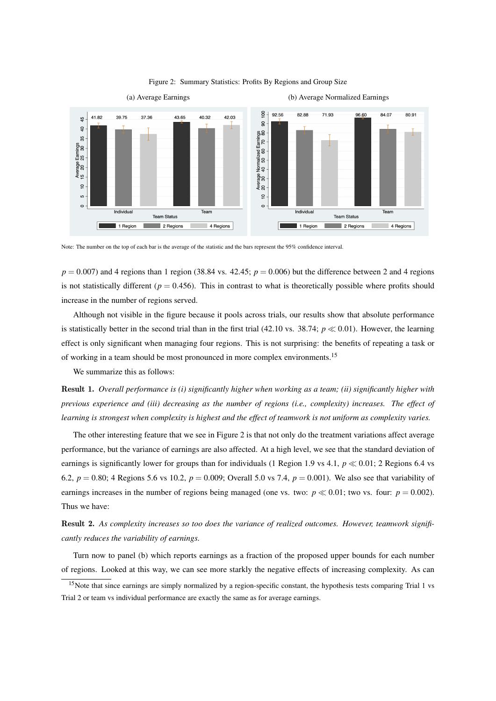

#### Figure 2: Summary Statistics: Profits By Regions and Group Size

Note: The number on the top of each bar is the average of the statistic and the bars represent the 95% confidence interval.

 $p = 0.007$ ) and 4 regions than 1 region (38.84 vs. 42.45;  $p = 0.006$ ) but the difference between 2 and 4 regions is not statistically different ( $p = 0.456$ ). This in contrast to what is theoretically possible where profits should increase in the number of regions served.

Although not visible in the figure because it pools across trials, our results show that absolute performance is statistically better in the second trial than in the first trial (42.10 vs. 38.74;  $p \ll 0.01$ ). However, the learning effect is only significant when managing four regions. This is not surprising: the benefits of repeating a task or of working in a team should be most pronounced in more complex environments.<sup>15</sup>

We summarize this as follows:

Result 1. *Overall performance is (i) significantly higher when working as a team; (ii) significantly higher with previous experience and (iii) decreasing as the number of regions (i.e., complexity) increases. The effect of learning is strongest when complexity is highest and the effect of teamwork is not uniform as complexity varies.*

The other interesting feature that we see in Figure 2 is that not only do the treatment variations affect average performance, but the variance of earnings are also affected. At a high level, we see that the standard deviation of earnings is significantly lower for groups than for individuals (1 Region 1.9 vs 4.1,  $p \ll 0.01$ ; 2 Regions 6.4 vs 6.2,  $p = 0.80$ ; 4 Regions 5.6 vs 10.2,  $p = 0.009$ ; Overall 5.0 vs 7.4,  $p = 0.001$ ). We also see that variability of earnings increases in the number of regions being managed (one vs. two:  $p \ll 0.01$ ; two vs. four:  $p = 0.002$ ). Thus we have:

Result 2. *As complexity increases so too does the variance of realized outcomes. However, teamwork significantly reduces the variability of earnings.*

Turn now to panel (b) which reports earnings as a fraction of the proposed upper bounds for each number of regions. Looked at this way, we can see more starkly the negative effects of increasing complexity. As can

 $15$ Note that since earnings are simply normalized by a region-specific constant, the hypothesis tests comparing Trial 1 vs Trial 2 or team vs individual performance are exactly the same as for average earnings.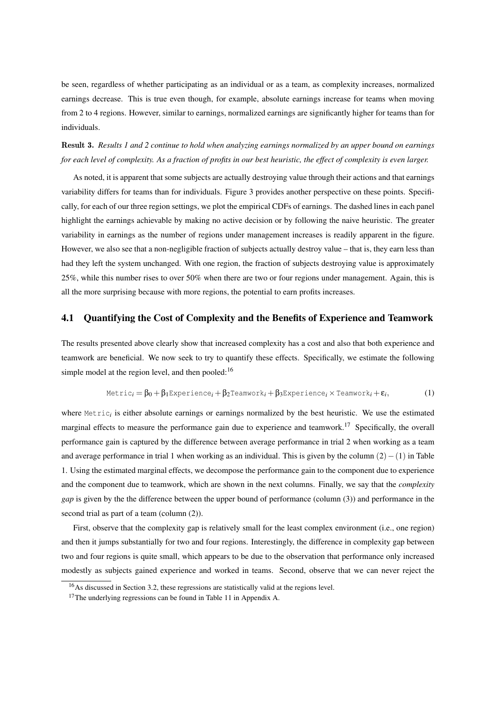be seen, regardless of whether participating as an individual or as a team, as complexity increases, normalized earnings decrease. This is true even though, for example, absolute earnings increase for teams when moving from 2 to 4 regions. However, similar to earnings, normalized earnings are significantly higher for teams than for individuals.

Result 3. *Results 1 and 2 continue to hold when analyzing earnings normalized by an upper bound on earnings for each level of complexity. As a fraction of profits in our best heuristic, the effect of complexity is even larger.*

As noted, it is apparent that some subjects are actually destroying value through their actions and that earnings variability differs for teams than for individuals. Figure 3 provides another perspective on these points. Specifically, for each of our three region settings, we plot the empirical CDFs of earnings. The dashed lines in each panel highlight the earnings achievable by making no active decision or by following the naive heuristic. The greater variability in earnings as the number of regions under management increases is readily apparent in the figure. However, we also see that a non-negligible fraction of subjects actually destroy value – that is, they earn less than had they left the system unchanged. With one region, the fraction of subjects destroying value is approximately 25%, while this number rises to over 50% when there are two or four regions under management. Again, this is all the more surprising because with more regions, the potential to earn profits increases.

# 4.1 Quantifying the Cost of Complexity and the Benefits of Experience and Teamwork

The results presented above clearly show that increased complexity has a cost and also that both experience and teamwork are beneficial. We now seek to try to quantify these effects. Specifically, we estimate the following simple model at the region level, and then pooled: $16$ 

$$
\text{Metric}_i = \beta_0 + \beta_1 \text{Experience}_i + \beta_2 \text{Teamwork}_i + \beta_3 \text{Experience}_i \times \text{Teamwork}_i + \varepsilon_i,\tag{1}
$$

where Metric*<sup>i</sup>* is either absolute earnings or earnings normalized by the best heuristic. We use the estimated marginal effects to measure the performance gain due to experience and teamwork.<sup>17</sup> Specifically, the overall performance gain is captured by the difference between average performance in trial 2 when working as a team and average performance in trial 1 when working as an individual. This is given by the column (2)−(1) in Table 1. Using the estimated marginal effects, we decompose the performance gain to the component due to experience and the component due to teamwork, which are shown in the next columns. Finally, we say that the *complexity gap* is given by the the difference between the upper bound of performance (column (3)) and performance in the second trial as part of a team (column (2)).

First, observe that the complexity gap is relatively small for the least complex environment (i.e., one region) and then it jumps substantially for two and four regions. Interestingly, the difference in complexity gap between two and four regions is quite small, which appears to be due to the observation that performance only increased modestly as subjects gained experience and worked in teams. Second, observe that we can never reject the

<sup>16</sup>As discussed in Section 3.2, these regressions are statistically valid at the regions level.

 $17$ The underlying regressions can be found in Table 11 in Appendix A.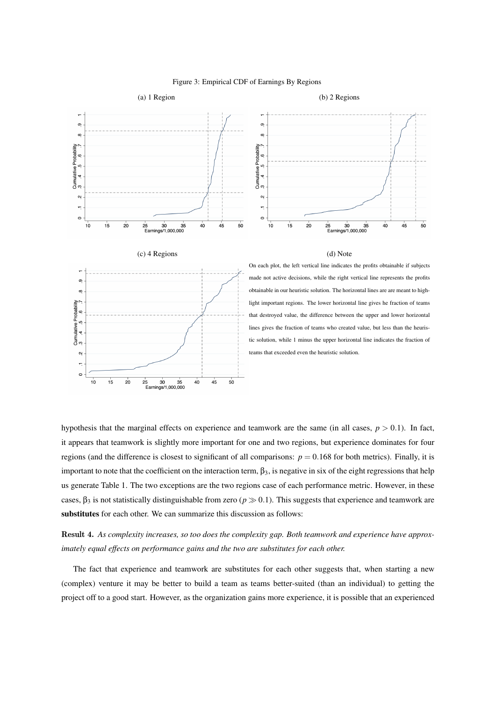

#### Figure 3: Empirical CDF of Earnings By Regions

hypothesis that the marginal effects on experience and teamwork are the same (in all cases,  $p > 0.1$ ). In fact, it appears that teamwork is slightly more important for one and two regions, but experience dominates for four regions (and the difference is closest to significant of all comparisons:  $p = 0.168$  for both metrics). Finally, it is important to note that the coefficient on the interaction term,  $\beta_3$ , is negative in six of the eight regressions that help us generate Table 1. The two exceptions are the two regions case of each performance metric. However, in these cases,  $\beta_3$  is not statistically distinguishable from zero ( $p \gg 0.1$ ). This suggests that experience and teamwork are substitutes for each other. We can summarize this discussion as follows:

Result 4. *As complexity increases, so too does the complexity gap. Both teamwork and experience have approximately equal effects on performance gains and the two are substitutes for each other.*

The fact that experience and teamwork are substitutes for each other suggests that, when starting a new (complex) venture it may be better to build a team as teams better-suited (than an individual) to getting the project off to a good start. However, as the organization gains more experience, it is possible that an experienced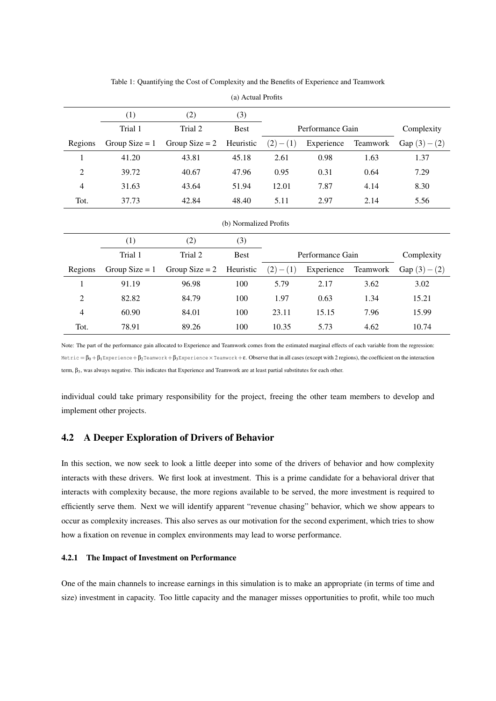| (1)<br>(2)<br>(3)                                                                                   |                 |  |  |  |  |  |  |
|-----------------------------------------------------------------------------------------------------|-----------------|--|--|--|--|--|--|
|                                                                                                     |                 |  |  |  |  |  |  |
| Trial 1<br>Trial 2<br><b>Best</b><br>Performance Gain                                               | Complexity      |  |  |  |  |  |  |
| Regions<br>Teamwork<br>Group Size $= 1$<br>Group Size $= 2$<br>Heuristic<br>$(2)-(1)$<br>Experience | Gap $(3) - (2)$ |  |  |  |  |  |  |
| $\mathbf{1}$<br>43.81<br>2.61<br>0.98<br>1.63<br>41.20<br>45.18                                     | 1.37            |  |  |  |  |  |  |
| $\overline{2}$<br>0.95<br>39.72<br>40.67<br>47.96<br>0.31<br>0.64                                   | 7.29            |  |  |  |  |  |  |
| $\overline{4}$<br>31.63<br>43.64<br>51.94<br>12.01<br>7.87<br>4.14                                  | 8.30            |  |  |  |  |  |  |
| Tot.<br>42.84<br>48.40<br>5.11<br>37.73<br>2.97<br>2.14                                             | 5.56            |  |  |  |  |  |  |
| (b) Normalized Profits                                                                              |                 |  |  |  |  |  |  |
| (1)<br>(2)<br>(3)                                                                                   |                 |  |  |  |  |  |  |
| Trial 1<br>Trial 2<br><b>Best</b><br>Performance Gain                                               | Complexity      |  |  |  |  |  |  |
| Heuristic<br>Regions<br>Group Size $= 1$<br>Group Size $= 2$<br>$(2)-(1)$<br>Experience<br>Teamwork | Gap $(3) - (2)$ |  |  |  |  |  |  |
| 1<br>91.19<br>100<br>5.79<br>3.62<br>96.98<br>2.17                                                  | 3.02            |  |  |  |  |  |  |
| $\overline{2}$<br>100<br>1.97<br>82.82<br>84.79<br>0.63<br>1.34                                     | 15.21           |  |  |  |  |  |  |
| $\overline{4}$<br>60.90<br>84.01<br>100<br>23.11<br>15.15<br>7.96                                   | 15.99           |  |  |  |  |  |  |
| Tot.<br>78.91<br>89.26<br>100<br>10.35<br>5.73<br>4.62                                              | 10.74           |  |  |  |  |  |  |

Table 1: Quantifying the Cost of Complexity and the Benefits of Experience and Teamwork

(a) Actual Profits

Note: The part of the performance gain allocated to Experience and Teamwork comes from the estimated marginal effects of each variable from the regression: Metric =  $\beta_0 + \beta_1$ Experience +  $\beta_2$ Teamwork +  $\beta_3$ Experience × Teamwork + ε. Observe that in all cases (except with 2 regions), the coefficient on the interaction term, β<sub>3</sub>, was always negative. This indicates that Experience and Teamwork are at least partial substitutes for each other.

individual could take primary responsibility for the project, freeing the other team members to develop and implement other projects.

# 4.2 A Deeper Exploration of Drivers of Behavior

In this section, we now seek to look a little deeper into some of the drivers of behavior and how complexity interacts with these drivers. We first look at investment. This is a prime candidate for a behavioral driver that interacts with complexity because, the more regions available to be served, the more investment is required to efficiently serve them. Next we will identify apparent "revenue chasing" behavior, which we show appears to occur as complexity increases. This also serves as our motivation for the second experiment, which tries to show how a fixation on revenue in complex environments may lead to worse performance.

#### 4.2.1 The Impact of Investment on Performance

One of the main channels to increase earnings in this simulation is to make an appropriate (in terms of time and size) investment in capacity. Too little capacity and the manager misses opportunities to profit, while too much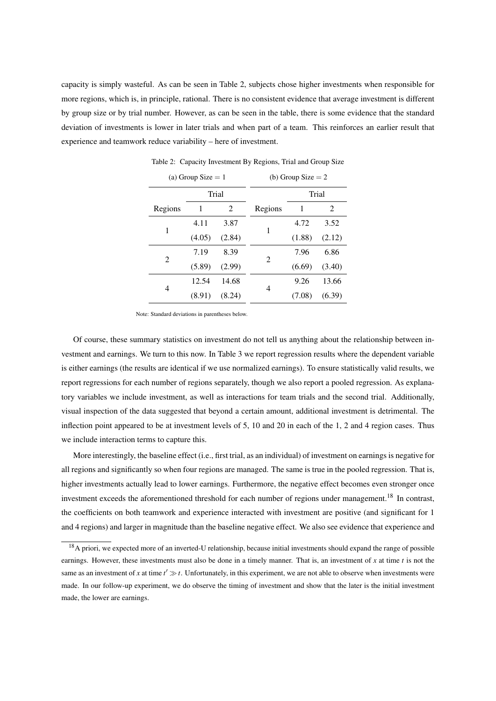capacity is simply wasteful. As can be seen in Table 2, subjects chose higher investments when responsible for more regions, which is, in principle, rational. There is no consistent evidence that average investment is different by group size or by trial number. However, as can be seen in the table, there is some evidence that the standard deviation of investments is lower in later trials and when part of a team. This reinforces an earlier result that experience and teamwork reduce variability – here of investment.

|         | (a) Group Size $= 1$ |        | (b) Group Size $= 2$        |        |        |  |
|---------|----------------------|--------|-----------------------------|--------|--------|--|
|         |                      | Trial  |                             |        | Trial  |  |
| Regions | 1                    | 2      | Regions                     | 1      | 2      |  |
|         | 4.11                 | 3.87   |                             | 4.72   | 3.52   |  |
| 1       | (4.05)               | (2.84) | 1                           | (1.88) | (2.12) |  |
| 2       | 7.19                 | 8.39   | $\mathcal{D}_{\mathcal{L}}$ | 7.96   | 6.86   |  |
|         | (5.89)               | (2.99) |                             | (6.69) | (3.40) |  |
|         | 12.54                | 14.68  | 4                           | 9.26   | 13.66  |  |
| 4       | (8.91)               | (8.24) |                             | (7.08) | (6.39) |  |
|         |                      |        |                             |        |        |  |

Table 2: Capacity Investment By Regions, Trial and Group Size

Note: Standard deviations in parentheses below.

Of course, these summary statistics on investment do not tell us anything about the relationship between investment and earnings. We turn to this now. In Table 3 we report regression results where the dependent variable is either earnings (the results are identical if we use normalized earnings). To ensure statistically valid results, we report regressions for each number of regions separately, though we also report a pooled regression. As explanatory variables we include investment, as well as interactions for team trials and the second trial. Additionally, visual inspection of the data suggested that beyond a certain amount, additional investment is detrimental. The inflection point appeared to be at investment levels of 5, 10 and 20 in each of the 1, 2 and 4 region cases. Thus we include interaction terms to capture this.

More interestingly, the baseline effect (i.e., first trial, as an individual) of investment on earnings is negative for all regions and significantly so when four regions are managed. The same is true in the pooled regression. That is, higher investments actually lead to lower earnings. Furthermore, the negative effect becomes even stronger once investment exceeds the aforementioned threshold for each number of regions under management.<sup>18</sup> In contrast, the coefficients on both teamwork and experience interacted with investment are positive (and significant for 1 and 4 regions) and larger in magnitude than the baseline negative effect. We also see evidence that experience and

<sup>&</sup>lt;sup>18</sup>A priori, we expected more of an inverted-U relationship, because initial investments should expand the range of possible earnings. However, these investments must also be done in a timely manner. That is, an investment of *x* at time *t* is not the same as an investment of x at time  $t' \gg t$ . Unfortunately, in this experiment, we are not able to observe when investments were made. In our follow-up experiment, we do observe the timing of investment and show that the later is the initial investment made, the lower are earnings.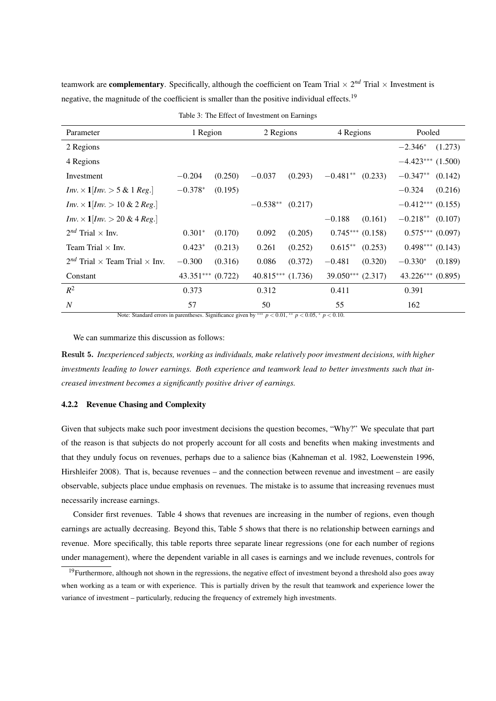teamwork are **complementary**. Specifically, although the coefficient on Team Trial  $\times 2^{nd}$  Trial  $\times$  Investment is negative, the magnitude of the coefficient is smaller than the positive individual effects.<sup>19</sup>

| Parameter                                                  | 1 Region              |         | 2 Regions             |         | 4 Regions         |                      | Pooled              |                      |
|------------------------------------------------------------|-----------------------|---------|-----------------------|---------|-------------------|----------------------|---------------------|----------------------|
| 2 Regions                                                  |                       |         |                       |         |                   |                      | $-2.346*$           | (1.273)              |
| 4 Regions                                                  |                       |         |                       |         |                   |                      | $-4.423***$ (1.500) |                      |
| Investment                                                 | $-0.204$              | (0.250) | $-0.037$              | (0.293) | $-0.481**$        | (0.233)              | $-0.347**$          | (0.142)              |
| <i>Inv.</i> $\times$ 1 <i>[Inv.</i> $>$ 5 & 1 <i>Reg.]</i> | $-0.378*$             | (0.195) |                       |         |                   |                      | $-0.324$            | (0.216)              |
| $Inv. \times 1   Inv. > 10 \& 2 Reg.$                      |                       |         | $-0.538**$            | (0.217) |                   |                      | $-0.412***$ (0.155) |                      |
| $Inv. \times 1   Inv. > 20 & 4 Reg.$                       |                       |         |                       |         | $-0.188$          | (0.161)              | $-0.218**$          | (0.107)              |
| $2^{nd}$ Trial $\times$ Inv.                               | $0.301*$              | (0.170) | 0.092                 | (0.205) |                   | $0.745***$ $(0.158)$ |                     | $0.575***(0.097)$    |
| Team Trial $\times$ Inv.                                   | $0.423*$              | (0.213) | 0.261                 | (0.252) | $0.615**$         | (0.253)              |                     | $0.498***$ $(0.143)$ |
| $2^{nd}$ Trial $\times$ Team Trial $\times$ Inv.           | $-0.300$              | (0.316) | 0.086                 | (0.372) | $-0.481$          | (0.320)              | $-0.330*$           | (0.189)              |
| Constant                                                   | $43.351***$ $(0.722)$ |         | $40.815***$ $(1.736)$ |         | 39.050*** (2.317) |                      | $43.226***$ (0.895) |                      |
| $R^2$                                                      | 0.373                 |         | 0.312                 |         | 0.411             |                      | 0.391               |                      |
| $\overline{N}$                                             | 57                    |         | 50                    |         | 55                |                      | 162                 |                      |

|  |  | Table 3: The Effect of Investment on Earnings |  |
|--|--|-----------------------------------------------|--|
|--|--|-----------------------------------------------|--|

Note: Standard errors in parentheses. Significance given by ∗∗∗ *p* < 0.01, ∗∗ *p* < 0.05, <sup>∗</sup> *p* < 0.10.

We can summarize this discussion as follows:

Result 5. *Inexperienced subjects, working as individuals, make relatively poor investment decisions, with higher investments leading to lower earnings. Both experience and teamwork lead to better investments such that increased investment becomes a significantly positive driver of earnings.*

## 4.2.2 Revenue Chasing and Complexity

Given that subjects make such poor investment decisions the question becomes, "Why?" We speculate that part of the reason is that subjects do not properly account for all costs and benefits when making investments and that they unduly focus on revenues, perhaps due to a salience bias (Kahneman et al. 1982, Loewenstein 1996, Hirshleifer 2008). That is, because revenues – and the connection between revenue and investment – are easily observable, subjects place undue emphasis on revenues. The mistake is to assume that increasing revenues must necessarily increase earnings.

Consider first revenues. Table 4 shows that revenues are increasing in the number of regions, even though earnings are actually decreasing. Beyond this, Table 5 shows that there is no relationship between earnings and revenue. More specifically, this table reports three separate linear regressions (one for each number of regions under management), where the dependent variable in all cases is earnings and we include revenues, controls for

 $19$ Furthermore, although not shown in the regressions, the negative effect of investment beyond a threshold also goes away when working as a team or with experience. This is partially driven by the result that teamwork and experience lower the variance of investment – particularly, reducing the frequency of extremely high investments.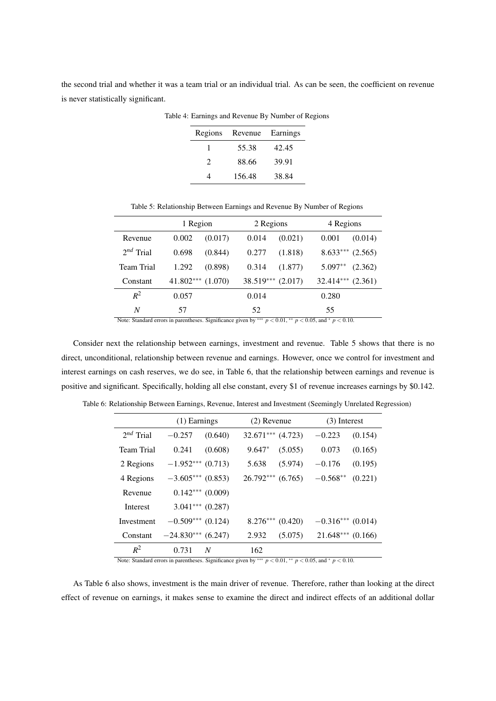the second trial and whether it was a team trial or an individual trial. As can be seen, the coefficient on revenue is never statistically significant.

| Regions       | Revenue | Earnings |
|---------------|---------|----------|
|               | 55.38   | 42.45    |
| $\mathcal{D}$ | 88.66   | 39.91    |
|               | 156.48  | 38.84    |

Table 4: Earnings and Revenue By Number of Regions

Table 5: Relationship Between Earnings and Revenue By Number of Regions

|                | 1 Region              |         | 2 Regions |                     | 4 Regions             |         |
|----------------|-----------------------|---------|-----------|---------------------|-----------------------|---------|
| Revenue        | 0.002                 | (0.017) | 0.014     | (0.021)             | 0.001                 | (0.014) |
| $2^{nd}$ Trial | 0.698                 | (0.844) | 0.277     | (1.818)             | $8.633***$            | (2.565) |
| Team Trial     | 1.292                 | (0.898) | 0.314     | (1.877)             | $5.097**$             | (2.362) |
| Constant       | $41.802***$ $(1.070)$ |         |           | $38.519***$ (2.017) | $32.414***$ $(2.361)$ |         |
| $R^2$          | 0.057                 |         | 0.014     |                     | 0.280                 |         |
| N              | 57                    |         | 52        |                     | 55                    |         |

Note: Standard errors in parentheses. Significance given by ∗∗∗ *p* < 0.01, ∗∗ *p* < 0.05, and <sup>∗</sup> *p* < 0.10.

Consider next the relationship between earnings, investment and revenue. Table 5 shows that there is no direct, unconditional, relationship between revenue and earnings. However, once we control for investment and interest earnings on cash reserves, we do see, in Table 6, that the relationship between earnings and revenue is positive and significant. Specifically, holding all else constant, every \$1 of revenue increases earnings by \$0.142.

|                   | $(1)$ Earnings       |         | $(2)$ Revenue       |         | $(3)$ Interest      |         |  |
|-------------------|----------------------|---------|---------------------|---------|---------------------|---------|--|
| $2^{nd}$ Trial    | $-0.257$             | (0.640) | $32.671***$ (4.723) |         | $-0.223$            | (0.154) |  |
| <b>Team Trial</b> | 0.241                | (0.608) | $9.647*$            | (5.055) | 0.073               | (0.165) |  |
| 2 Regions         | $-1.952***$ (0.713)  |         | 5.638               | (5.974) | $-0.176$            | (0.195) |  |
| 4 Regions         | $-3.605***$ (0.853)  |         | $26.792***$         | (6.765) | $-0.568**$          | (0.221) |  |
| Revenue           | $0.142***$ $(0.009)$ |         |                     |         |                     |         |  |
| Interest          | $3.041***$ (0.287)   |         |                     |         |                     |         |  |
| Investment        | $-0.509***$ (0.124)  |         | $8.276***$ (0.420)  |         | $-0.316***$ (0.014) |         |  |
| Constant          | $-24.830***$ (6.247) |         | 2.932               | (5.075) | $21.648***$         | (0.166) |  |
| $R^2$             | 0.731                | N       | 162                 |         |                     |         |  |

Table 6: Relationship Between Earnings, Revenue, Interest and Investment (Seemingly Unrelated Regression)

Note: Standard errors in parentheses. Significance given by ∗∗∗ *p* < 0.01, ∗∗ *p* < 0.05, and <sup>∗</sup> *p* < 0.10.

As Table 6 also shows, investment is the main driver of revenue. Therefore, rather than looking at the direct effect of revenue on earnings, it makes sense to examine the direct and indirect effects of an additional dollar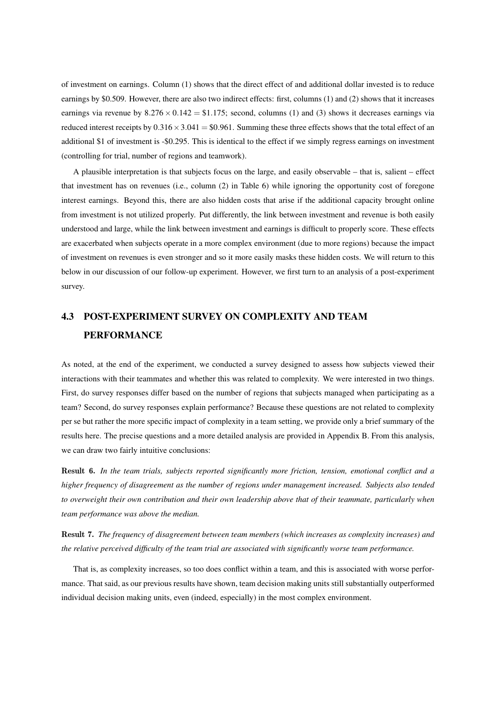of investment on earnings. Column (1) shows that the direct effect of and additional dollar invested is to reduce earnings by \$0.509. However, there are also two indirect effects: first, columns (1) and (2) shows that it increases earnings via revenue by  $8.276 \times 0.142 = $1.175$ ; second, columns (1) and (3) shows it decreases earnings via reduced interest receipts by  $0.316 \times 3.041 = $0.961$ . Summing these three effects shows that the total effect of an additional \$1 of investment is -\$0.295. This is identical to the effect if we simply regress earnings on investment (controlling for trial, number of regions and teamwork).

A plausible interpretation is that subjects focus on the large, and easily observable – that is, salient – effect that investment has on revenues (i.e., column (2) in Table 6) while ignoring the opportunity cost of foregone interest earnings. Beyond this, there are also hidden costs that arise if the additional capacity brought online from investment is not utilized properly. Put differently, the link between investment and revenue is both easily understood and large, while the link between investment and earnings is difficult to properly score. These effects are exacerbated when subjects operate in a more complex environment (due to more regions) because the impact of investment on revenues is even stronger and so it more easily masks these hidden costs. We will return to this below in our discussion of our follow-up experiment. However, we first turn to an analysis of a post-experiment survey.

# 4.3 POST-EXPERIMENT SURVEY ON COMPLEXITY AND TEAM PERFORMANCE

As noted, at the end of the experiment, we conducted a survey designed to assess how subjects viewed their interactions with their teammates and whether this was related to complexity. We were interested in two things. First, do survey responses differ based on the number of regions that subjects managed when participating as a team? Second, do survey responses explain performance? Because these questions are not related to complexity per se but rather the more specific impact of complexity in a team setting, we provide only a brief summary of the results here. The precise questions and a more detailed analysis are provided in Appendix B. From this analysis, we can draw two fairly intuitive conclusions:

Result 6. *In the team trials, subjects reported significantly more friction, tension, emotional conflict and a higher frequency of disagreement as the number of regions under management increased. Subjects also tended to overweight their own contribution and their own leadership above that of their teammate, particularly when team performance was above the median.*

Result 7. *The frequency of disagreement between team members (which increases as complexity increases) and the relative perceived difficulty of the team trial are associated with significantly worse team performance.*

That is, as complexity increases, so too does conflict within a team, and this is associated with worse performance. That said, as our previous results have shown, team decision making units still substantially outperformed individual decision making units, even (indeed, especially) in the most complex environment.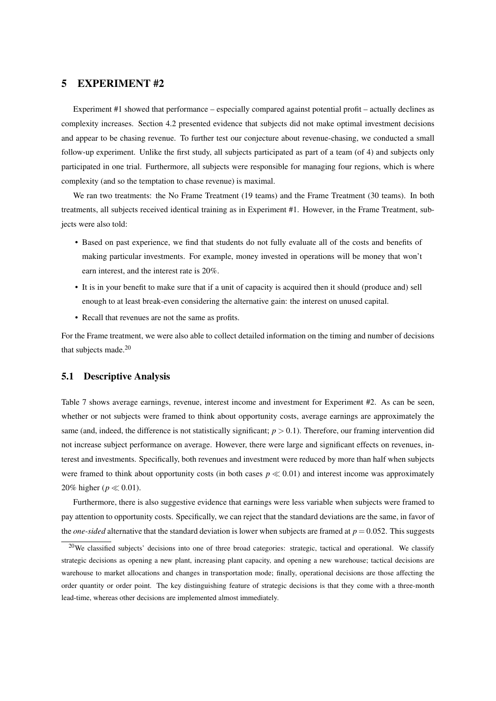# 5 EXPERIMENT #2

Experiment #1 showed that performance – especially compared against potential profit – actually declines as complexity increases. Section 4.2 presented evidence that subjects did not make optimal investment decisions and appear to be chasing revenue. To further test our conjecture about revenue-chasing, we conducted a small follow-up experiment. Unlike the first study, all subjects participated as part of a team (of 4) and subjects only participated in one trial. Furthermore, all subjects were responsible for managing four regions, which is where complexity (and so the temptation to chase revenue) is maximal.

We ran two treatments: the No Frame Treatment (19 teams) and the Frame Treatment (30 teams). In both treatments, all subjects received identical training as in Experiment #1. However, in the Frame Treatment, subjects were also told:

- Based on past experience, we find that students do not fully evaluate all of the costs and benefits of making particular investments. For example, money invested in operations will be money that won't earn interest, and the interest rate is 20%.
- It is in your benefit to make sure that if a unit of capacity is acquired then it should (produce and) sell enough to at least break-even considering the alternative gain: the interest on unused capital.
- Recall that revenues are not the same as profits.

For the Frame treatment, we were also able to collect detailed information on the timing and number of decisions that subjects made.<sup>20</sup>

## 5.1 Descriptive Analysis

Table 7 shows average earnings, revenue, interest income and investment for Experiment #2. As can be seen, whether or not subjects were framed to think about opportunity costs, average earnings are approximately the same (and, indeed, the difference is not statistically significant;  $p > 0.1$ ). Therefore, our framing intervention did not increase subject performance on average. However, there were large and significant effects on revenues, interest and investments. Specifically, both revenues and investment were reduced by more than half when subjects were framed to think about opportunity costs (in both cases  $p \ll 0.01$ ) and interest income was approximately 20% higher ( $p \ll 0.01$ ).

Furthermore, there is also suggestive evidence that earnings were less variable when subjects were framed to pay attention to opportunity costs. Specifically, we can reject that the standard deviations are the same, in favor of the *one-sided* alternative that the standard deviation is lower when subjects are framed at  $p = 0.052$ . This suggests

<sup>&</sup>lt;sup>20</sup>We classified subjects' decisions into one of three broad categories: strategic, tactical and operational. We classify strategic decisions as opening a new plant, increasing plant capacity, and opening a new warehouse; tactical decisions are warehouse to market allocations and changes in transportation mode; finally, operational decisions are those affecting the order quantity or order point. The key distinguishing feature of strategic decisions is that they come with a three-month lead-time, whereas other decisions are implemented almost immediately.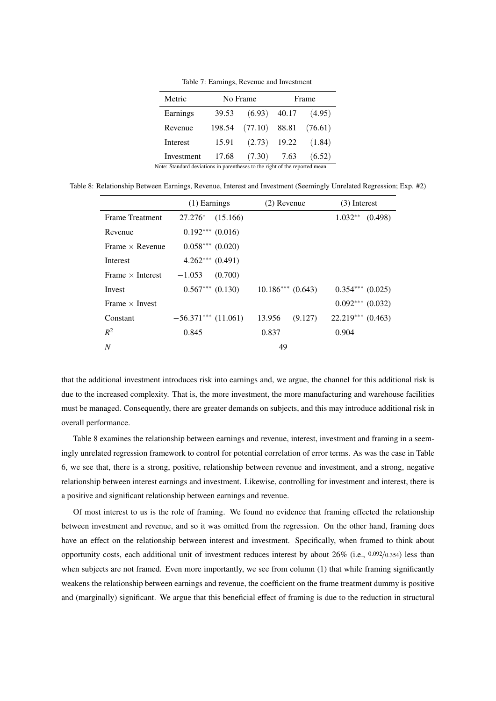Table 7: Earnings, Revenue and Investment

| Metric                                                                      |        | No Frame        |  | Frame   |  |  |
|-----------------------------------------------------------------------------|--------|-----------------|--|---------|--|--|
| Earnings                                                                    | 39.53  | $(6.93)$ 40.17  |  | (4.95)  |  |  |
| Revenue                                                                     | 198.54 | $(77.10)$ 88.81 |  | (76.61) |  |  |
| Interest                                                                    | 15.91  | $(2.73)$ 19.22  |  | (1.84)  |  |  |
| Investment                                                                  | 17.68  | $(7.30)$ 7.63   |  | (6.52)  |  |  |
| Note: Standard deviations in parentheses to the right of the reported mean. |        |                 |  |         |  |  |

Table 8: Relationship Between Earnings, Revenue, Interest and Investment (Seemingly Unrelated Regression; Exp. #2)

|                         | (1) Earnings          | $(2)$ Revenue      | $(3)$ Interest      |
|-------------------------|-----------------------|--------------------|---------------------|
| <b>Frame Treatment</b>  | $27.276*$ (15.166)    |                    | $-1.032**$ (0.498)  |
| Revenue                 | $0.192***(0.016)$     |                    |                     |
| Frame $\times$ Revenue  | $-0.058***(0.020)$    |                    |                     |
| Interest                | $4.262***$ (0.491)    |                    |                     |
| Frame $\times$ Interest | $-1.053$<br>(0.700)   |                    |                     |
| Invest                  | $-0.567***$ (0.130)   | $10.186***(0.643)$ | $-0.354***$ (0.025) |
| Frame $\times$ Invest   |                       |                    | $0.092***(0.032)$   |
| Constant                | $-56.371***$ (11.061) | 13.956<br>(9.127)  | $22.219***$ (0.463) |
| $R^2$                   | 0.845                 | 0.837              | 0.904               |
| N                       |                       | 49                 |                     |

that the additional investment introduces risk into earnings and, we argue, the channel for this additional risk is due to the increased complexity. That is, the more investment, the more manufacturing and warehouse facilities must be managed. Consequently, there are greater demands on subjects, and this may introduce additional risk in overall performance.

Table 8 examines the relationship between earnings and revenue, interest, investment and framing in a seemingly unrelated regression framework to control for potential correlation of error terms. As was the case in Table 6, we see that, there is a strong, positive, relationship between revenue and investment, and a strong, negative relationship between interest earnings and investment. Likewise, controlling for investment and interest, there is a positive and significant relationship between earnings and revenue.

Of most interest to us is the role of framing. We found no evidence that framing effected the relationship between investment and revenue, and so it was omitted from the regression. On the other hand, framing does have an effect on the relationship between interest and investment. Specifically, when framed to think about opportunity costs, each additional unit of investment reduces interest by about  $26\%$  (i.e., 0.092/0.354) less than when subjects are not framed. Even more importantly, we see from column (1) that while framing significantly weakens the relationship between earnings and revenue, the coefficient on the frame treatment dummy is positive and (marginally) significant. We argue that this beneficial effect of framing is due to the reduction in structural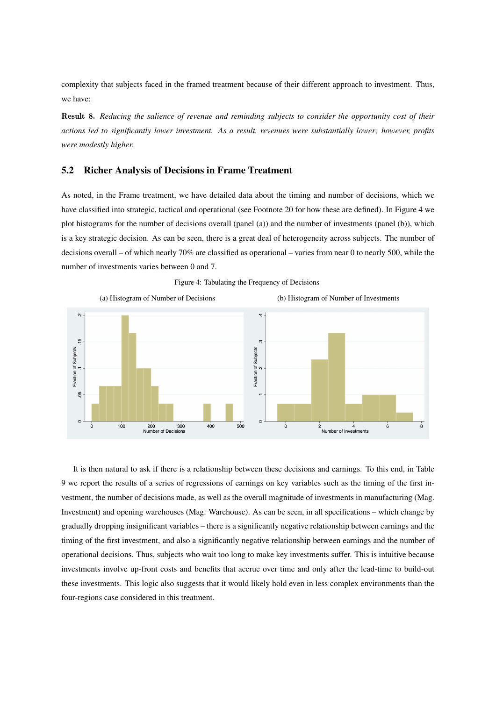complexity that subjects faced in the framed treatment because of their different approach to investment. Thus, we have:

Result 8. *Reducing the salience of revenue and reminding subjects to consider the opportunity cost of their actions led to significantly lower investment. As a result, revenues were substantially lower; however, profits were modestly higher.*

# 5.2 Richer Analysis of Decisions in Frame Treatment

As noted, in the Frame treatment, we have detailed data about the timing and number of decisions, which we have classified into strategic, tactical and operational (see Footnote 20 for how these are defined). In Figure 4 we plot histograms for the number of decisions overall (panel (a)) and the number of investments (panel (b)), which is a key strategic decision. As can be seen, there is a great deal of heterogeneity across subjects. The number of decisions overall – of which nearly 70% are classified as operational – varies from near 0 to nearly 500, while the number of investments varies between 0 and 7.



Figure 4: Tabulating the Frequency of Decisions

It is then natural to ask if there is a relationship between these decisions and earnings. To this end, in Table 9 we report the results of a series of regressions of earnings on key variables such as the timing of the first investment, the number of decisions made, as well as the overall magnitude of investments in manufacturing (Mag. Investment) and opening warehouses (Mag. Warehouse). As can be seen, in all specifications – which change by gradually dropping insignificant variables – there is a significantly negative relationship between earnings and the timing of the first investment, and also a significantly negative relationship between earnings and the number of operational decisions. Thus, subjects who wait too long to make key investments suffer. This is intuitive because investments involve up-front costs and benefits that accrue over time and only after the lead-time to build-out these investments. This logic also suggests that it would likely hold even in less complex environments than the four-regions case considered in this treatment.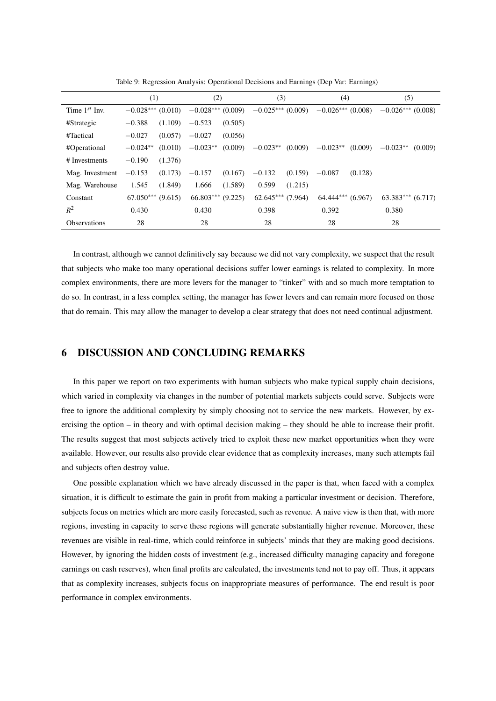|                     | (1)                   |         | (2)                   |         | (3)                 |         | (4)                 |         | (5)                 |         |
|---------------------|-----------------------|---------|-----------------------|---------|---------------------|---------|---------------------|---------|---------------------|---------|
| Time $1^{st}$ Inv.  | $-0.028***$           | (0.010) | $-0.028***(0.009)$    |         | $-0.025***(0.009)$  |         | $-0.026***$ (0.008) |         | $-0.026***$ (0.008) |         |
| #Strategic          | $-0.388$              | (1.109) | $-0.523$              | (0.505) |                     |         |                     |         |                     |         |
| #Tactical           | $-0.027$              | (0.057) | $-0.027$              | (0.056) |                     |         |                     |         |                     |         |
| #Operational        | $-0.024**$            | (0.010) | $-0.023**$            | (0.009) | $-0.023**$ (0.009)  |         | $-0.023**$          | (0.009) | $-0.023**$          | (0.009) |
| # Investments       | $-0.190$              | (1.376) |                       |         |                     |         |                     |         |                     |         |
| Mag. Investment     | $-0.153$              | (0.173) | $-0.157$              | (0.167) | $-0.132$            | (0.159) | $-0.087$            | (0.128) |                     |         |
| Mag. Warehouse      | 1.545                 | (1.849) | 1.666                 | (1.589) | 0.599               | (1.215) |                     |         |                     |         |
| Constant            | $67.050***$ $(9.615)$ |         | $66.803***$ $(9.225)$ |         | $62.645***$ (7.964) |         | $64.444***(6.967)$  |         | $63.383***(6.717)$  |         |
| $R^2$               | 0.430                 |         | 0.430                 |         | 0.398               |         | 0.392               |         | 0.380               |         |
| <b>Observations</b> | 28                    |         | 28                    |         | 28                  |         | 28                  |         | 28                  |         |

Table 9: Regression Analysis: Operational Decisions and Earnings (Dep Var: Earnings)

In contrast, although we cannot definitively say because we did not vary complexity, we suspect that the result that subjects who make too many operational decisions suffer lower earnings is related to complexity. In more complex environments, there are more levers for the manager to "tinker" with and so much more temptation to do so. In contrast, in a less complex setting, the manager has fewer levers and can remain more focused on those that do remain. This may allow the manager to develop a clear strategy that does not need continual adjustment.

# 6 DISCUSSION AND CONCLUDING REMARKS

In this paper we report on two experiments with human subjects who make typical supply chain decisions, which varied in complexity via changes in the number of potential markets subjects could serve. Subjects were free to ignore the additional complexity by simply choosing not to service the new markets. However, by exercising the option – in theory and with optimal decision making – they should be able to increase their profit. The results suggest that most subjects actively tried to exploit these new market opportunities when they were available. However, our results also provide clear evidence that as complexity increases, many such attempts fail and subjects often destroy value.

One possible explanation which we have already discussed in the paper is that, when faced with a complex situation, it is difficult to estimate the gain in profit from making a particular investment or decision. Therefore, subjects focus on metrics which are more easily forecasted, such as revenue. A naive view is then that, with more regions, investing in capacity to serve these regions will generate substantially higher revenue. Moreover, these revenues are visible in real-time, which could reinforce in subjects' minds that they are making good decisions. However, by ignoring the hidden costs of investment (e.g., increased difficulty managing capacity and foregone earnings on cash reserves), when final profits are calculated, the investments tend not to pay off. Thus, it appears that as complexity increases, subjects focus on inappropriate measures of performance. The end result is poor performance in complex environments.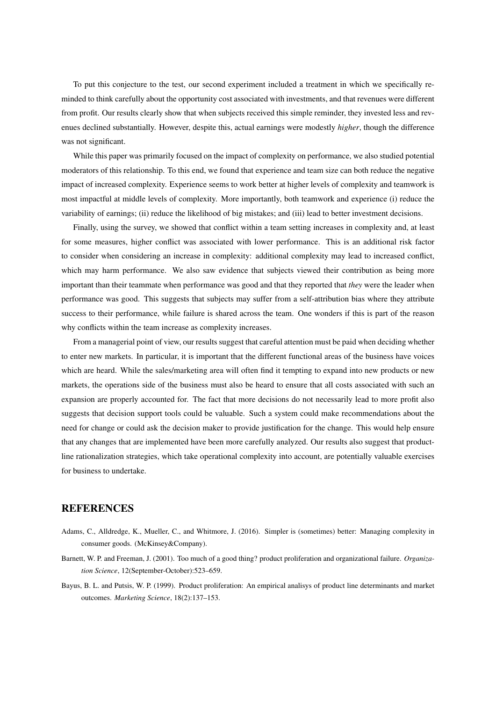To put this conjecture to the test, our second experiment included a treatment in which we specifically reminded to think carefully about the opportunity cost associated with investments, and that revenues were different from profit. Our results clearly show that when subjects received this simple reminder, they invested less and revenues declined substantially. However, despite this, actual earnings were modestly *higher*, though the difference was not significant.

While this paper was primarily focused on the impact of complexity on performance, we also studied potential moderators of this relationship. To this end, we found that experience and team size can both reduce the negative impact of increased complexity. Experience seems to work better at higher levels of complexity and teamwork is most impactful at middle levels of complexity. More importantly, both teamwork and experience (i) reduce the variability of earnings; (ii) reduce the likelihood of big mistakes; and (iii) lead to better investment decisions.

Finally, using the survey, we showed that conflict within a team setting increases in complexity and, at least for some measures, higher conflict was associated with lower performance. This is an additional risk factor to consider when considering an increase in complexity: additional complexity may lead to increased conflict, which may harm performance. We also saw evidence that subjects viewed their contribution as being more important than their teammate when performance was good and that they reported that *they* were the leader when performance was good. This suggests that subjects may suffer from a self-attribution bias where they attribute success to their performance, while failure is shared across the team. One wonders if this is part of the reason why conflicts within the team increase as complexity increases.

From a managerial point of view, our results suggest that careful attention must be paid when deciding whether to enter new markets. In particular, it is important that the different functional areas of the business have voices which are heard. While the sales/marketing area will often find it tempting to expand into new products or new markets, the operations side of the business must also be heard to ensure that all costs associated with such an expansion are properly accounted for. The fact that more decisions do not necessarily lead to more profit also suggests that decision support tools could be valuable. Such a system could make recommendations about the need for change or could ask the decision maker to provide justification for the change. This would help ensure that any changes that are implemented have been more carefully analyzed. Our results also suggest that productline rationalization strategies, which take operational complexity into account, are potentially valuable exercises for business to undertake.

# **REFERENCES**

- Adams, C., Alldredge, K., Mueller, C., and Whitmore, J. (2016). Simpler is (sometimes) better: Managing complexity in consumer goods. (McKinsey&Company).
- Barnett, W. P. and Freeman, J. (2001). Too much of a good thing? product proliferation and organizational failure. *Organization Science*, 12(September-October):523–659.
- Bayus, B. L. and Putsis, W. P. (1999). Product proliferation: An empirical analisys of product line determinants and market outcomes. *Marketing Science*, 18(2):137–153.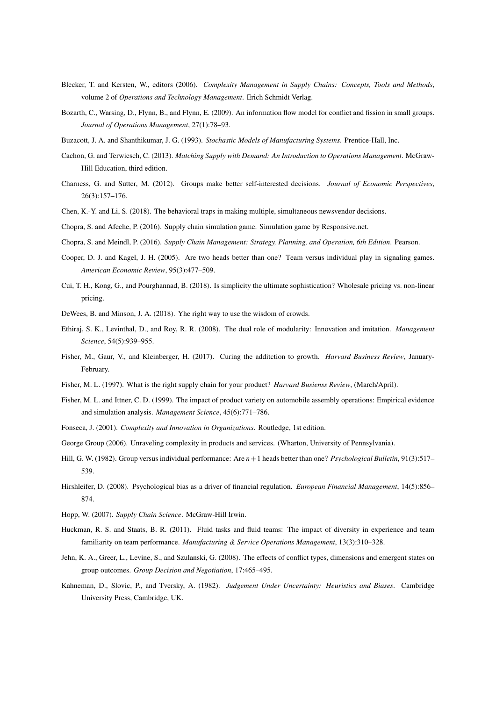- Blecker, T. and Kersten, W., editors (2006). *Complexity Management in Supply Chains: Concepts, Tools and Methods*, volume 2 of *Operations and Technology Management*. Erich Schmidt Verlag.
- Bozarth, C., Warsing, D., Flynn, B., and Flynn, E. (2009). An information flow model for conflict and fission in small groups. *Journal of Operations Management*, 27(1):78–93.
- Buzacott, J. A. and Shanthikumar, J. G. (1993). *Stochastic Models of Manufacturing Systems*. Prentice-Hall, Inc.
- Cachon, G. and Terwiesch, C. (2013). *Matching Supply with Demand: An Introduction to Operations Management*. McGraw-Hill Education, third edition.
- Charness, G. and Sutter, M. (2012). Groups make better self-interested decisions. *Journal of Economic Perspectives*, 26(3):157–176.
- Chen, K.-Y. and Li, S. (2018). The behavioral traps in making multiple, simultaneous newsvendor decisions.
- Chopra, S. and Afeche, P. (2016). Supply chain simulation game. Simulation game by Responsive.net.
- Chopra, S. and Meindl, P. (2016). *Supply Chain Management: Strategy, Planning, and Operation, 6th Edition*. Pearson.
- Cooper, D. J. and Kagel, J. H. (2005). Are two heads better than one? Team versus individual play in signaling games. *American Economic Review*, 95(3):477–509.
- Cui, T. H., Kong, G., and Pourghannad, B. (2018). Is simplicity the ultimate sophistication? Wholesale pricing vs. non-linear pricing.
- DeWees, B. and Minson, J. A. (2018). Yhe right way to use the wisdom of crowds.
- Ethiraj, S. K., Levinthal, D., and Roy, R. R. (2008). The dual role of modularity: Innovation and imitation. *Management Science*, 54(5):939–955.
- Fisher, M., Gaur, V., and Kleinberger, H. (2017). Curing the additction to growth. *Harvard Business Review*, January-February.
- Fisher, M. L. (1997). What is the right supply chain for your product? *Harvard Busienss Review*, (March/April).
- Fisher, M. L. and Ittner, C. D. (1999). The impact of product variety on automobile assembly operations: Empirical evidence and simulation analysis. *Management Science*, 45(6):771–786.
- Fonseca, J. (2001). *Complexity and Innovation in Organizations*. Routledge, 1st edition.
- George Group (2006). Unraveling complexity in products and services. (Wharton, University of Pennsylvania).
- Hill, G. W. (1982). Group versus individual performance: Are *n*+1 heads better than one? *Psychological Bulletin*, 91(3):517– 539.
- Hirshleifer, D. (2008). Psychological bias as a driver of financial regulation. *European Financial Management*, 14(5):856– 874.
- Hopp, W. (2007). *Supply Chain Science*. McGraw-Hill Irwin.
- Huckman, R. S. and Staats, B. R. (2011). Fluid tasks and fluid teams: The impact of diversity in experience and team familiarity on team performance. *Manufacturing & Service Operations Management*, 13(3):310–328.
- Jehn, K. A., Greer, L., Levine, S., and Szulanski, G. (2008). The effects of conflict types, dimensions and emergent states on group outcomes. *Group Decision and Negotiation*, 17:465–495.
- Kahneman, D., Slovic, P., and Tversky, A. (1982). *Judgement Under Uncertainty: Heuristics and Biases*. Cambridge University Press, Cambridge, UK.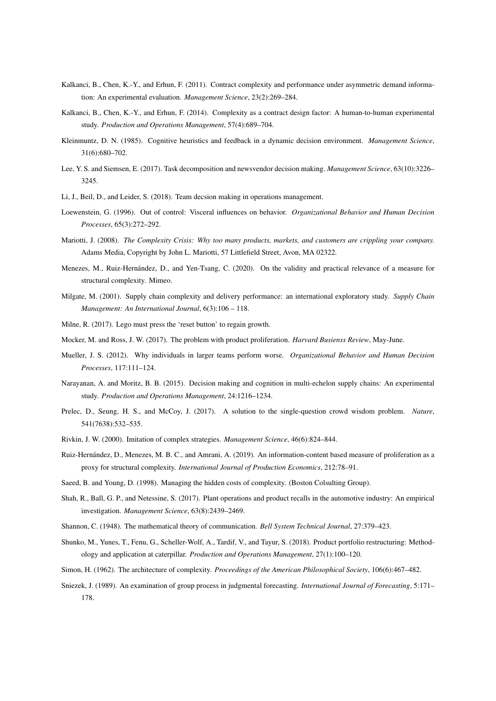- Kalkanci, B., Chen, K.-Y., and Erhun, F. (2011). Contract complexity and performance under asymmetric demand information: An experimental evaluation. *Management Science*, 23(2):269–284.
- Kalkanci, B., Chen, K.-Y., and Erhun, F. (2014). Complexity as a contract design factor: A human-to-human experimental study. *Production and Operations Management*, 57(4):689–704.
- Kleinmuntz, D. N. (1985). Cognitive heuristics and feedback in a dynamic decision environment. *Management Science*, 31(6):680–702.
- Lee, Y. S. and Siemsen, E. (2017). Task decomposition and newsvendor decision making. *Management Science*, 63(10):3226– 3245.
- Li, J., Beil, D., and Leider, S. (2018). Team decsion making in operations management.
- Loewenstein, G. (1996). Out of control: Visceral influences on behavior. *Organizational Behavior and Human Decision Processes*, 65(3):272–292.
- Mariotti, J. (2008). *The Complexity Crisis: Why too many products, markets, and customers are crippling your company.* Adams Media, Copyright by John L. Mariotti, 57 Littlefield Street, Avon, MA 02322.
- Menezes, M., Ruiz-Hernández, D., and Yen-Tsang, C. (2020). On the validity and practical relevance of a measure for structural complexity. Mimeo.
- Milgate, M. (2001). Supply chain complexity and delivery performance: an international exploratory study. *Supply Chain Management: An International Journal*, 6(3):106 – 118.
- Milne, R. (2017). Lego must press the 'reset button' to regain growth.
- Mocker, M. and Ross, J. W. (2017). The problem with product proliferation. *Harvard Busienss Review*, May-June.
- Mueller, J. S. (2012). Why individuals in larger teams perform worse. *Organizational Behavior and Human Decision Processes*, 117:111–124.
- Narayanan, A. and Moritz, B. B. (2015). Decision making and cognition in multi-echelon supply chains: An experimental study. *Production and Operations Management*, 24:1216–1234.
- Prelec, D., Seung, H. S., and McCoy, J. (2017). A solution to the single-question crowd wisdom problem. *Nature*, 541(7638):532–535.
- Rivkin, J. W. (2000). Imitation of complex strategies. *Management Science*, 46(6):824–844.
- Ruiz-Hernández, D., Menezes, M. B. C., and Amrani, A. (2019). An information-content based measure of proliferation as a proxy for structural complexity. *International Journal of Production Economics*, 212:78–91.
- Saeed, B. and Young, D. (1998). Managing the hidden costs of complexity. (Boston Colsulting Group).
- Shah, R., Ball, G. P., and Netessine, S. (2017). Plant operations and product recalls in the automotive industry: An empirical investigation. *Management Science*, 63(8):2439–2469.
- Shannon, C. (1948). The mathematical theory of communication. *Bell System Technical Journal*, 27:379–423.
- Shunko, M., Yunes, T., Fenu, G., Scheller-Wolf, A., Tardif, V., and Tayur, S. (2018). Product portfolio restructuring: Methodology and application at caterpillar. *Production and Operations Management*, 27(1):100–120.
- Simon, H. (1962). The architecture of complexity. *Proceedings of the American Philosophical Society*, 106(6):467–482.
- Sniezek, J. (1989). An examination of group process in judgmental forecasting. *International Journal of Forecasting*, 5:171– 178.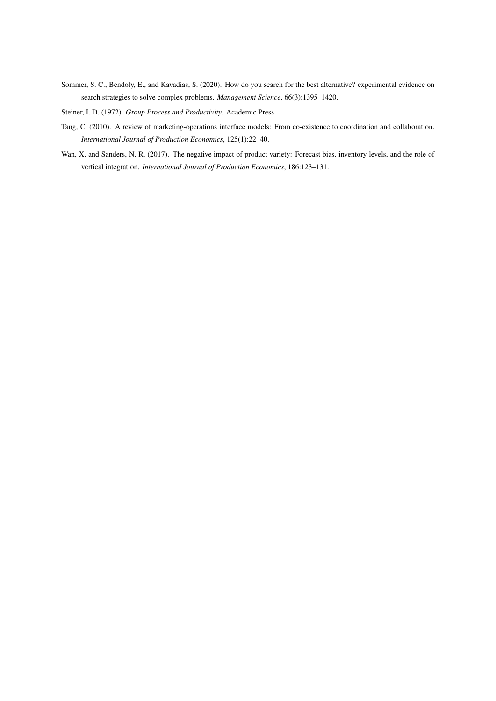- Sommer, S. C., Bendoly, E., and Kavadias, S. (2020). How do you search for the best alternative? experimental evidence on search strategies to solve complex problems. *Management Science*, 66(3):1395–1420.
- Steiner, I. D. (1972). *Group Process and Productivity*. Academic Press.
- Tang, C. (2010). A review of marketing-operations interface models: From co-existence to coordination and collaboration. *International Journal of Production Economics*, 125(1):22–40.
- Wan, X. and Sanders, N. R. (2017). The negative impact of product variety: Forecast bias, inventory levels, and the role of vertical integration. *International Journal of Production Economics*, 186:123–131.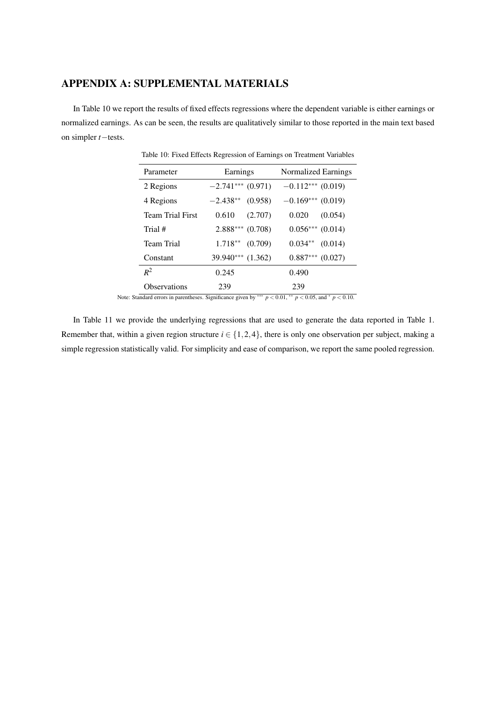# APPENDIX A: SUPPLEMENTAL MATERIALS

In Table 10 we report the results of fixed effects regressions where the dependent variable is either earnings or normalized earnings. As can be seen, the results are qualitatively similar to those reported in the main text based on simpler *t*−tests.

| Parameter                                                                                                                                 | Earnings              | Normalized Earnings                                                                          |
|-------------------------------------------------------------------------------------------------------------------------------------------|-----------------------|----------------------------------------------------------------------------------------------|
| 2 Regions                                                                                                                                 | $-2.741***$ (0.971)   | $-0.112***$ (0.019)                                                                          |
| 4 Regions                                                                                                                                 | $-2.438**$<br>(0.958) | $-0.169***$ (0.019)                                                                          |
| <b>Team Trial First</b>                                                                                                                   | 0.610<br>(2.707)      | 0.020<br>(0.054)                                                                             |
| Trial #                                                                                                                                   | $2.888***$<br>(0.708) | $0.056***$ (0.014)                                                                           |
| <b>Team Trial</b>                                                                                                                         | $1.718**$<br>(0.709)  | $0.034**$<br>(0.014)                                                                         |
| Constant                                                                                                                                  | 39.940*** (1.362)     | $0.887***$ $(0.027)$                                                                         |
| $R^2$                                                                                                                                     | 0.245                 | 0.490                                                                                        |
| <b>Observations</b><br>$\mathbf{1}$ and $\mathbf{1}$ and $\mathbf{1}$ and $\mathbf{1}$ and $\mathbf{1}$ and $\mathbf{1}$ and $\mathbf{1}$ | 239                   | 239<br>$0.07 - 18$<br>$\therefore$ $\bigcap$ $\bigcap$ $\bigcap$ $\exists x$<br>$\cdot$ 0 10 |

Table 10: Fixed Effects Regression of Earnings on Treatment Variables

Note: Standard errors in parentheses. Significance given by ∗∗∗ *p* < 0.01, ∗∗ *p* < 0.05, and <sup>∗</sup> *p* < 0.10.

In Table 11 we provide the underlying regressions that are used to generate the data reported in Table 1. Remember that, within a given region structure  $i \in \{1, 2, 4\}$ , there is only one observation per subject, making a simple regression statistically valid. For simplicity and ease of comparison, we report the same pooled regression.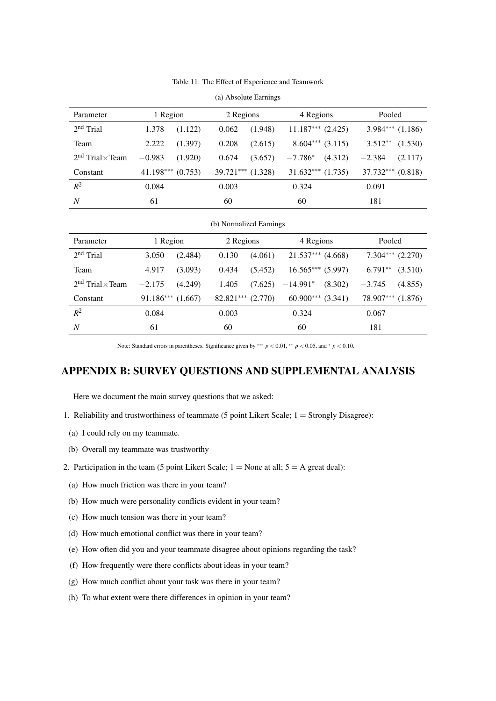|  | Table 11: The Effect of Experience and Teamwork |  |  |  |
|--|-------------------------------------------------|--|--|--|
|--|-------------------------------------------------|--|--|--|

| Parameter                 | 1 Region |                     | 2 Regions |                       | 4 Regions |                       | Pooled                |                      |
|---------------------------|----------|---------------------|-----------|-----------------------|-----------|-----------------------|-----------------------|----------------------|
| $2nd$ Trial               | 1.378    | (1.122)             | 0.062     | (1.948)               |           | $11.187***$ $(2.425)$ |                       | $3.984***$ $(1.186)$ |
| Team                      | 2.222    | (1.397)             | 0.208     | (2.615)               |           | $8.604***$ (3.115)    | $3.512**$             | (1.530)              |
| $2nd$ Trial $\times$ Team | $-0.983$ | (1.920)             | 0.674     | (3.657)               | $-7.786*$ | (4.312)               | $-2.384$              | (2.117)              |
| Constant                  |          | $41.198***$ (0.753) |           | $39.721***$ $(1.328)$ |           | $31.632***$ $(1.735)$ | $37.732***$ $(0.818)$ |                      |
| $R^2$                     | 0.084    |                     | 0.003     |                       | 0.324     |                       | 0.091                 |                      |
| N                         | 61       |                     | 60        |                       | 60        |                       | 181                   |                      |

| (a) Absolute Earnings |  |
|-----------------------|--|
|-----------------------|--|

| (b) Normalized Earnings |  |
|-------------------------|--|
|                         |  |
|                         |  |

| Parameter                 | 1 Region  |         | 2 Regions |         | 4 Regions           |         | Pooled    |                      |
|---------------------------|-----------|---------|-----------|---------|---------------------|---------|-----------|----------------------|
| $2nd$ Trial               | 3.050     | (2.484) | 0.130     | (4.061) | $21.537***$ (4.668) |         |           | $7.304***$ $(2.270)$ |
| Team                      | 4.917     | (3.093) | 0.434     | (5.452) | $16.565***(5.997)$  |         | $6.791**$ | (3.510)              |
| $2nd$ Trial $\times$ Team | $-2.175$  | (4.249) | 1.405     | (7.625) | $-14.991*$          | (8.302) | $-3.745$  | (4.855)              |
| Constant                  | 91.186*** | (1.667) | 82.821*** | (2.770) | $60.900***$         | (3.341) | 78.907*** | (1.876)              |
| $R^2$                     | 0.084     |         | 0.003     |         | 0.324               |         | 0.067     |                      |
| N                         | 61        |         | 60        |         | 60                  |         | 181       |                      |

Note: Standard errors in parentheses. Significance given by ∗∗∗ *p* < 0.01, ∗∗ *p* < 0.05, and <sup>∗</sup> *p* < 0.10.

# APPENDIX B: SURVEY QUESTIONS AND SUPPLEMENTAL ANALYSIS

Here we document the main survey questions that we asked:

- 1. Reliability and trustworthiness of teammate (5 point Likert Scale; 1 = Strongly Disagree):
- (a) I could rely on my teammate.
- (b) Overall my teammate was trustworthy
- 2. Participation in the team (5 point Likert Scale;  $1 =$  None at all;  $5 =$  A great deal):
	- (a) How much friction was there in your team?
	- (b) How much were personality conflicts evident in your team?
	- (c) How much tension was there in your team?
	- (d) How much emotional conflict was there in your team?
	- (e) How often did you and your teammate disagree about opinions regarding the task?
	- (f) How frequently were there conflicts about ideas in your team?
	- (g) How much conflict about your task was there in your team?
	- (h) To what extent were there differences in opinion in your team?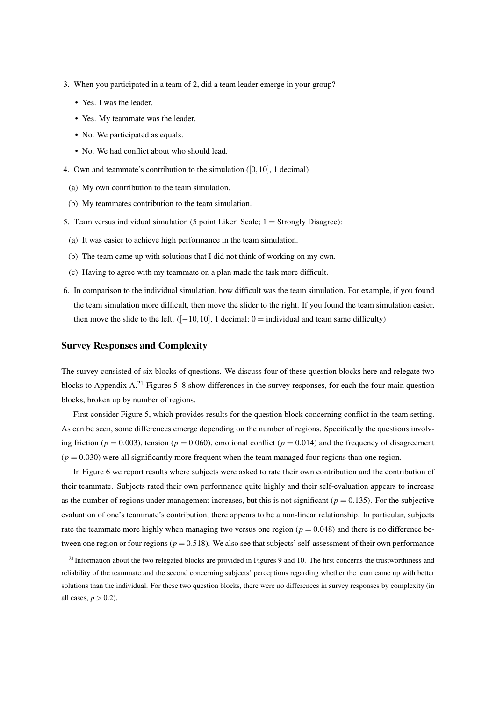- 3. When you participated in a team of 2, did a team leader emerge in your group?
	- Yes. I was the leader.
	- Yes. My teammate was the leader.
	- No. We participated as equals.
	- No. We had conflict about who should lead.
- 4. Own and teammate's contribution to the simulation ([0,10], 1 decimal)
	- (a) My own contribution to the team simulation.
	- (b) My teammates contribution to the team simulation.
- 5. Team versus individual simulation (5 point Likert Scale; 1 = Strongly Disagree):
	- (a) It was easier to achieve high performance in the team simulation.
	- (b) The team came up with solutions that I did not think of working on my own.
	- (c) Having to agree with my teammate on a plan made the task more difficult.
- 6. In comparison to the individual simulation, how difficult was the team simulation. For example, if you found the team simulation more difficult, then move the slider to the right. If you found the team simulation easier, then move the slide to the left.  $([-10, 10], 1$  decimal; 0 = individual and team same difficulty)

#### Survey Responses and Complexity

The survey consisted of six blocks of questions. We discuss four of these question blocks here and relegate two blocks to Appendix A.<sup>21</sup> Figures 5–8 show differences in the survey responses, for each the four main question blocks, broken up by number of regions.

First consider Figure 5, which provides results for the question block concerning conflict in the team setting. As can be seen, some differences emerge depending on the number of regions. Specifically the questions involving friction ( $p = 0.003$ ), tension ( $p = 0.060$ ), emotional conflict ( $p = 0.014$ ) and the frequency of disagreement  $(p = 0.030)$  were all significantly more frequent when the team managed four regions than one region.

In Figure 6 we report results where subjects were asked to rate their own contribution and the contribution of their teammate. Subjects rated their own performance quite highly and their self-evaluation appears to increase as the number of regions under management increases, but this is not significant ( $p = 0.135$ ). For the subjective evaluation of one's teammate's contribution, there appears to be a non-linear relationship. In particular, subjects rate the teammate more highly when managing two versus one region ( $p = 0.048$ ) and there is no difference between one region or four regions ( $p = 0.518$ ). We also see that subjects' self-assessment of their own performance

<sup>&</sup>lt;sup>21</sup>Information about the two relegated blocks are provided in Figures 9 and 10. The first concerns the trustworthiness and reliability of the teammate and the second concerning subjects' perceptions regarding whether the team came up with better solutions than the individual. For these two question blocks, there were no differences in survey responses by complexity (in all cases,  $p > 0.2$ ).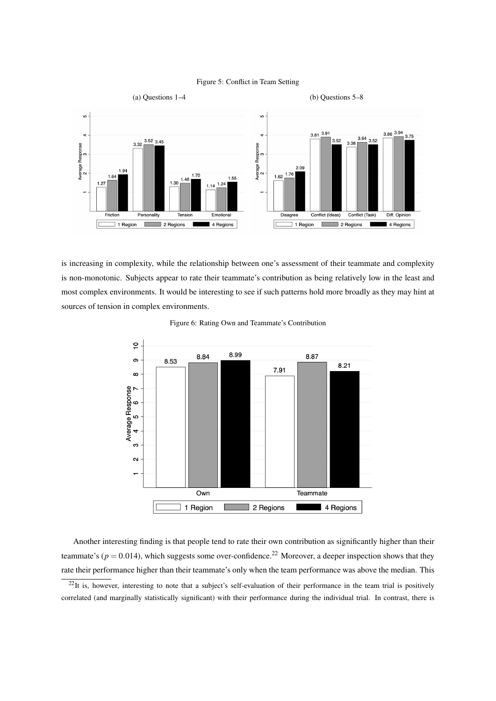



is increasing in complexity, while the relationship between one's assessment of their teammate and complexity is non-monotonic. Subjects appear to rate their teammate's contribution as being relatively low in the least and most complex environments. It would be interesting to see if such patterns hold more broadly as they may hint at sources of tension in complex environments.



Figure 6: Rating Own and Teammate's Contribution

Another interesting finding is that people tend to rate their own contribution as significantly higher than their teammate's ( $p = 0.014$ ), which suggests some over-confidence.<sup>22</sup> Moreover, a deeper inspection shows that they rate their performance higher than their teammate's only when the team performance was above the median. This

 $^{22}$ It is, however, interesting to note that a subject's self-evaluation of their performance in the team trial is positively correlated (and marginally statistically significant) with their performance during the individual trial. In contrast, there is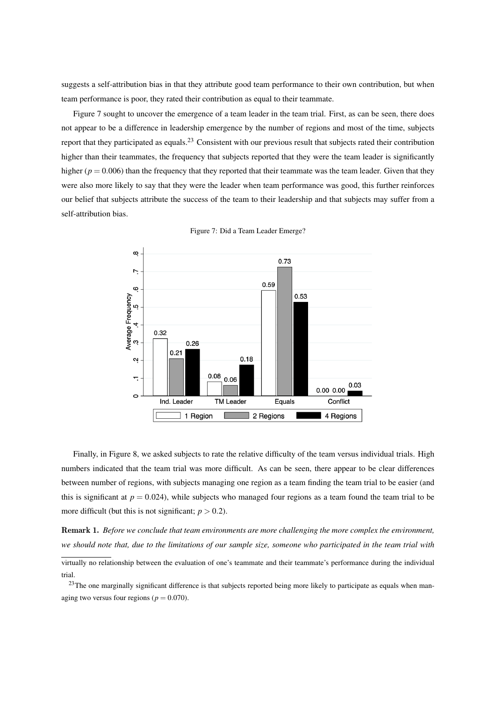suggests a self-attribution bias in that they attribute good team performance to their own contribution, but when team performance is poor, they rated their contribution as equal to their teammate.

Figure 7 sought to uncover the emergence of a team leader in the team trial. First, as can be seen, there does not appear to be a difference in leadership emergence by the number of regions and most of the time, subjects report that they participated as equals.<sup>23</sup> Consistent with our previous result that subjects rated their contribution higher than their teammates, the frequency that subjects reported that they were the team leader is significantly higher ( $p = 0.006$ ) than the frequency that they reported that their teammate was the team leader. Given that they were also more likely to say that they were the leader when team performance was good, this further reinforces our belief that subjects attribute the success of the team to their leadership and that subjects may suffer from a self-attribution bias.



Figure 7: Did a Team Leader Emerge?

Finally, in Figure 8, we asked subjects to rate the relative difficulty of the team versus individual trials. High numbers indicated that the team trial was more difficult. As can be seen, there appear to be clear differences between number of regions, with subjects managing one region as a team finding the team trial to be easier (and this is significant at  $p = 0.024$ ), while subjects who managed four regions as a team found the team trial to be more difficult (but this is not significant;  $p > 0.2$ ).

Remark 1. *Before we conclude that team environments are more challenging the more complex the environment, we should note that, due to the limitations of our sample size, someone who participated in the team trial with* virtually no relationship between the evaluation of one's teammate and their teammate's performance during the individual trial.

<sup>23</sup>The one marginally significant difference is that subjects reported being more likely to participate as equals when managing two versus four regions ( $p = 0.070$ ).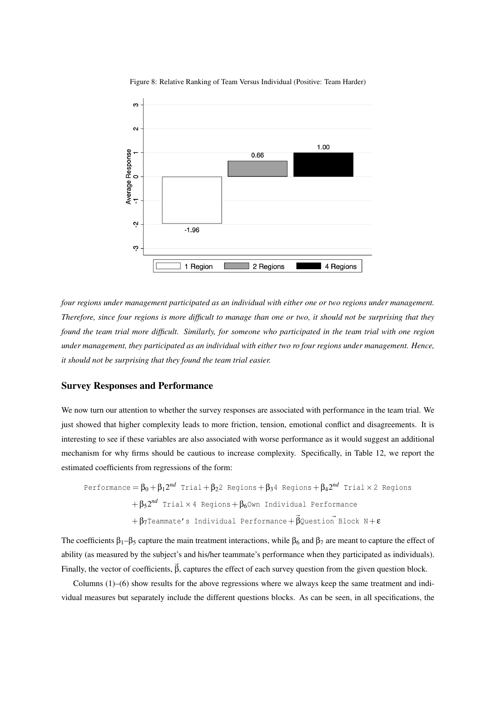Figure 8: Relative Ranking of Team Versus Individual (Positive: Team Harder)



*four regions under management participated as an individual with either one or two regions under management. Therefore, since four regions is more difficult to manage than one or two, it should not be surprising that they found the team trial more difficult. Similarly, for someone who participated in the team trial with one region under management, they participated as an individual with either two ro four regions under management. Hence, it should not be surprising that they found the team trial easier.*

### Survey Responses and Performance

We now turn our attention to whether the survey responses are associated with performance in the team trial. We just showed that higher complexity leads to more friction, tension, emotional conflict and disagreements. It is interesting to see if these variables are also associated with worse performance as it would suggest an additional mechanism for why firms should be cautious to increase complexity. Specifically, in Table 12, we report the estimated coefficients from regressions of the form:

\n
$$
\text{Performance} = \beta_0 + \beta_1 2^{nd} \text{ trial} + \beta_2 2 \text{ Regions} + \beta_3 4 \text{ Regions} + \beta_4 2^{nd} \text{trial} \times 2 \text{ Regions}
$$
\n

\n\n $+ \beta_5 2^{nd} \text{trial} \times 4 \text{ Regions} + \beta_6 0 \text{wn Individual Performance}$ \n

\n\n $+ \beta_7 \text{Teammate's Individual Performance} + \beta_0 \text{question} \text{ Block } N + \varepsilon$ \n

The coefficients  $\beta_1-\beta_5$  capture the main treatment interactions, while  $\beta_6$  and  $\beta_7$  are meant to capture the effect of ability (as measured by the subject's and his/her teammate's performance when they participated as individuals). Finally, the vector of coefficients,  $\vec{\beta}$ , captures the effect of each survey question from the given question block.

Columns (1)–(6) show results for the above regressions where we always keep the same treatment and individual measures but separately include the different questions blocks. As can be seen, in all specifications, the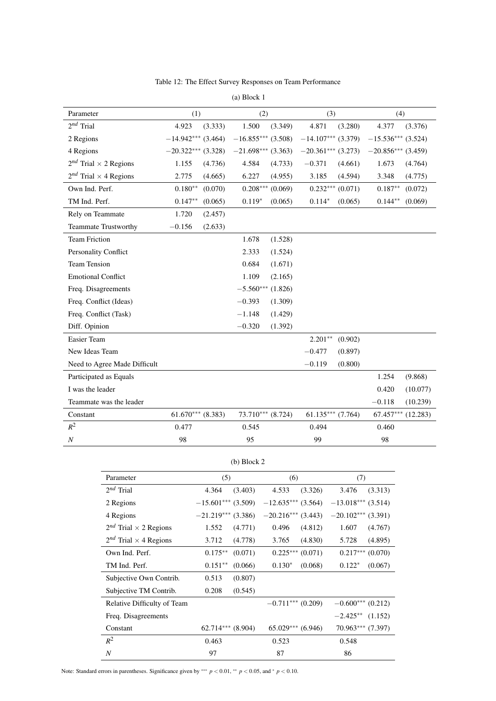|  | Table 12: The Effect Survey Responses on Team Performance |  |  |  |  |
|--|-----------------------------------------------------------|--|--|--|--|
|--|-----------------------------------------------------------|--|--|--|--|

| Parameter                         | (1)                  | (2)                  | (3)                  | (4)                  |
|-----------------------------------|----------------------|----------------------|----------------------|----------------------|
| $2^{nd}$ Trial                    | 4.923<br>(3.333)     | 1.500<br>(3.349)     | 4.871<br>(3.280)     | 4.377<br>(3.376)     |
| 2 Regions                         | $-14.942***$ (3.464) | $-16.855***$ (3.508) | $-14.107***$ (3.379) | $-15.536***$ (3.524) |
| 4 Regions                         | $-20.322***$ (3.328) | $-21.698***$ (3.363) | $-20.361***$ (3.273) | $-20.856***$ (3.459) |
| $2^{nd}$ Trial $\times$ 2 Regions | 1.155<br>(4.736)     | 4.584<br>(4.733)     | $-0.371$<br>(4.661)  | 1.673<br>(4.764)     |
| $2^{nd}$ Trial $\times$ 4 Regions | 2.775<br>(4.665)     | 6.227<br>(4.955)     | 3.185<br>(4.594)     | 3.348<br>(4.775)     |
| Own Ind. Perf.                    | $0.180**$<br>(0.070) | $0.208***(0.069)$    | $0.232***(0.071)$    | $0.187**$<br>(0.072) |
| TM Ind. Perf.                     | $0.147**$<br>(0.065) | $0.119*$<br>(0.065)  | $0.114*$<br>(0.065)  | $0.144**$<br>(0.069) |
| Rely on Teammate                  | 1.720<br>(2.457)     |                      |                      |                      |
| <b>Teammate Trustworthy</b>       | $-0.156$<br>(2.633)  |                      |                      |                      |
| <b>Team Friction</b>              |                      | 1.678<br>(1.528)     |                      |                      |
| Personality Conflict              |                      | 2.333<br>(1.524)     |                      |                      |
| <b>Team Tension</b>               |                      | 0.684<br>(1.671)     |                      |                      |
| <b>Emotional Conflict</b>         |                      | 1.109<br>(2.165)     |                      |                      |
| Freq. Disagreements               |                      | $-5.560***$ (1.826)  |                      |                      |
| Freq. Conflict (Ideas)            |                      | $-0.393$<br>(1.309)  |                      |                      |
| Freq. Conflict (Task)             |                      | $-1.148$<br>(1.429)  |                      |                      |
| Diff. Opinion                     |                      | $-0.320$<br>(1.392)  |                      |                      |
| Easier Team                       |                      |                      | $2.201**$<br>(0.902) |                      |
| New Ideas Team                    |                      |                      | $-0.477$<br>(0.897)  |                      |
| Need to Agree Made Difficult      |                      |                      | $-0.119$<br>(0.800)  |                      |
| Participated as Equals            |                      |                      |                      | (9.868)<br>1.254     |
| I was the leader                  |                      |                      |                      | 0.420<br>(10.077)    |
| Teammate was the leader           |                      |                      |                      | $-0.118$<br>(10.239) |
| Constant                          | $61.670***$ (8.383)  | $73.710***$ (8.724)  | $61.135***$ (7.764)  | $67.457***$ (12.283) |
| $R^2$                             | 0.477                | 0.545                | 0.494                | 0.460                |
| $\boldsymbol{N}$                  | 98                   | 95                   | 99                   | 98                   |

(a) Block 1

|                                   | (b) Block 2           |                       |                      |  |
|-----------------------------------|-----------------------|-----------------------|----------------------|--|
| Parameter                         | (5)                   | (6)                   | (7)                  |  |
| $2^{nd}$ Trial                    | (3.403)<br>4.364      | 4.533<br>(3.326)      | 3.476<br>(3.313)     |  |
| 2 Regions                         | $-15.601***$ (3.509)  | $-12.635***$ (3.564)  | $-13.018***$ (3.514) |  |
| 4 Regions                         | $-21.219***$ (3.386)  | $-20.216***$ (3.443)  | $-20.102***$ (3.391) |  |
| $2^{nd}$ Trial $\times$ 2 Regions | 1.552<br>(4.771)      | 0.496<br>(4.812)      | 1.607<br>(4.767)     |  |
| $2^{nd}$ Trial $\times$ 4 Regions | 3.712<br>(4.778)      | 3.765<br>(4.830)      | 5.728<br>(4.895)     |  |
| Own Ind. Perf.                    | $0.175***$<br>(0.071) | $0.225***(0.071)$     | $0.217***$ $(0.070)$ |  |
| TM Ind. Perf.                     | $0.151**$<br>(0.066)  | $0.130*$<br>(0.068)   | $0.122*$<br>(0.067)  |  |
| Subjective Own Contrib.           | 0.513<br>(0.807)      |                       |                      |  |
| Subjective TM Contrib.            | 0.208<br>(0.545)      |                       |                      |  |
| Relative Difficulty of Team       |                       | $-0.711***$ (0.209)   | $-0.600***$ (0.212)  |  |
| Freq. Disagreements               |                       |                       | $-2.425**$ (1.152)   |  |
| Constant                          | $62.714***$ $(8.904)$ | $65.029***$ $(6.946)$ | $70.963***$ (7.397)  |  |
| $R^2$                             | 0.463                 | 0.523                 | 0.548                |  |
| $\boldsymbol{N}$                  | 97                    | 87                    | 86                   |  |

(b) Block 2

Note: Standard errors in parentheses. Significance given by ∗∗∗ *p* < 0.01, ∗∗ *p* < 0.05, and <sup>∗</sup> *p* < 0.10.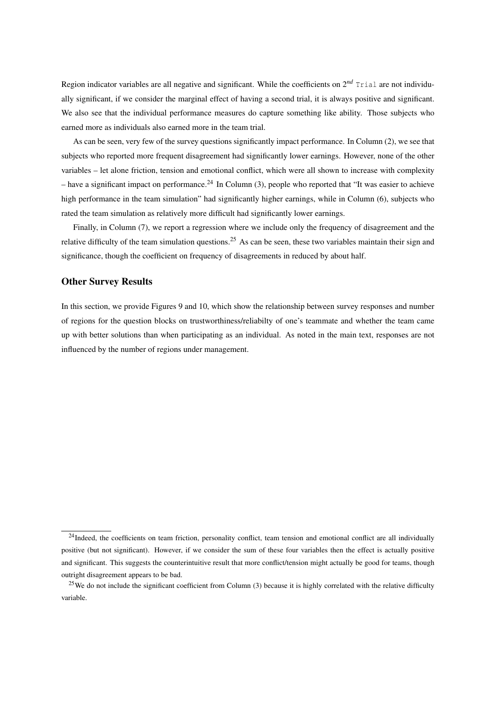Region indicator variables are all negative and significant. While the coefficients on  $2^{nd}$  Trial are not individually significant, if we consider the marginal effect of having a second trial, it is always positive and significant. We also see that the individual performance measures do capture something like ability. Those subjects who earned more as individuals also earned more in the team trial.

As can be seen, very few of the survey questions significantly impact performance. In Column (2), we see that subjects who reported more frequent disagreement had significantly lower earnings. However, none of the other variables – let alone friction, tension and emotional conflict, which were all shown to increase with complexity – have a significant impact on performance.<sup>24</sup> In Column (3), people who reported that "It was easier to achieve high performance in the team simulation" had significantly higher earnings, while in Column (6), subjects who rated the team simulation as relatively more difficult had significantly lower earnings.

Finally, in Column (7), we report a regression where we include only the frequency of disagreement and the relative difficulty of the team simulation questions.<sup>25</sup> As can be seen, these two variables maintain their sign and significance, though the coefficient on frequency of disagreements in reduced by about half.

## Other Survey Results

In this section, we provide Figures 9 and 10, which show the relationship between survey responses and number of regions for the question blocks on trustworthiness/reliabilty of one's teammate and whether the team came up with better solutions than when participating as an individual. As noted in the main text, responses are not influenced by the number of regions under management.

<sup>&</sup>lt;sup>24</sup>Indeed, the coefficients on team friction, personality conflict, team tension and emotional conflict are all individually positive (but not significant). However, if we consider the sum of these four variables then the effect is actually positive and significant. This suggests the counterintuitive result that more conflict/tension might actually be good for teams, though outright disagreement appears to be bad.

<sup>&</sup>lt;sup>25</sup>We do not include the significant coefficient from Column  $(3)$  because it is highly correlated with the relative difficulty variable.